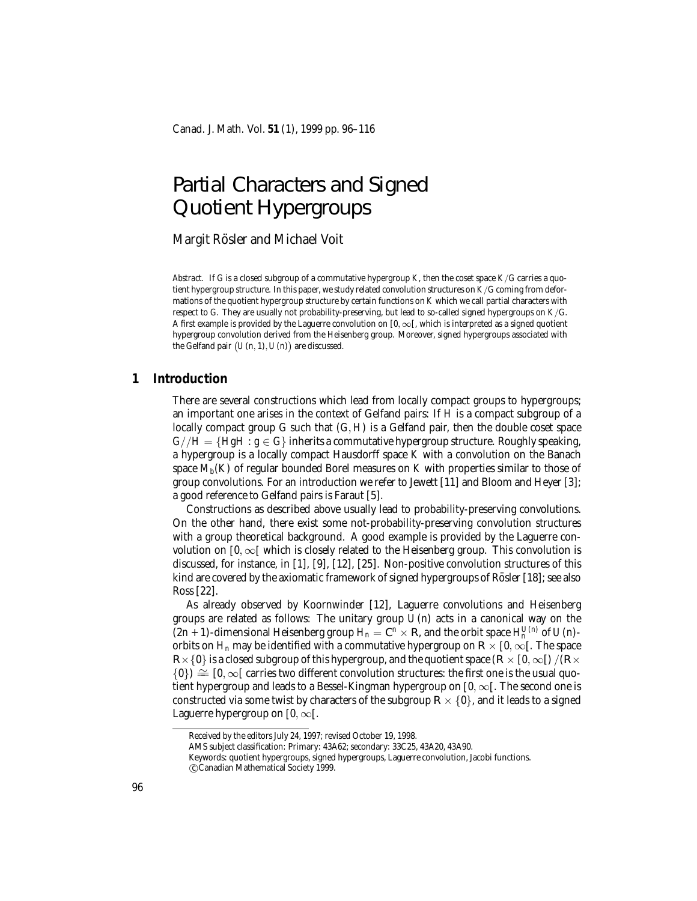# Partial Characters and Signed Quotient Hypergroups

Margit Rösler and Michael Voit

*Abstract.* If *G* is a closed subgroup of a commutative hypergroup *K*, then the coset space *K*/*G* carries a quotient hypergroup structure. In this paper, we study related convolution structures on *K*/*G* coming from deformations of the quotient hypergroup structure by certain functions on *K* which we call partial characters with respect to *G*. They are usually not probability-preserving, but lead to so-called signed hypergroups on *K*/*G*. A first example is provided by the Laguerre convolution on  $[0, \infty)$ , which is interpreted as a signed quotient hypergroup convolution derived from the Heisenberg group. Moreover, signed hypergroups associated with the Gelfand pair  $(U(n, 1), U(n))$  are discussed.

### **1 Introduction**

There are several constructions which lead from locally compact groups to hypergroups; an important one arises in the context of Gelfand pairs: If *H* is a compact subgroup of a locally compact group *G* such that (*G*, *H*) is a Gelfand pair, then the double coset space  $G//H = \{HgH : g \in G\}$  inherits a commutative hypergroup structure. Roughly speaking, a hypergroup is a locally compact Hausdorff space *K* with a convolution on the Banach space  $M_b(K)$  of regular bounded Borel measures on  $K$  with properties similar to those of group convolutions. For an introduction we refer to Jewett [11] and Bloom and Heyer [3]; a good reference to Gelfand pairs is Faraut [5].

Constructions as described above usually lead to probability-preserving convolutions. On the other hand, there exist some not-probability-preserving convolution structures with a group theoretical background. A good example is provided by the Laguerre convolution on  $[0, \infty)$  which is closely related to the Heisenberg group. This convolution is discussed, for instance, in [1], [9], [12], [25]. Non-positive convolution structures of this kind are covered by the axiomatic framework of signed hypergroups of Rösler [18]; see also Ross [22].

As already observed by Koornwinder [12], Laguerre convolutions and Heisenberg groups are related as follows: The unitary group *U*(*n*) acts in a canonical way on the  $(2n + 1)$ -dimensional Heisenberg group  $H_n = \mathbb{C}^n \times \mathbb{R}$ , and the orbit space  $H_n^{U(n)}$  of  $U(n)$ orbits on  $H_n$  may be identified with a commutative hypergroup on  $R \times [0, \infty)$ . The space  $R\times\{0\}$  is a closed subgroup of this hypergroup, and the quotient space  $(R\times\{0,\infty\})/(R\times\{0\})$  $\{0\} \cong [0,\infty[$  carries two different convolution structures: the first one is the usual quotient hypergroup and leads to a Bessel-Kingman hypergroup on  $[0, \infty)$ . The second one is constructed via some twist by characters of the subgroup  $R \times \{0\}$ , and it leads to a signed Laguerre hypergroup on  $[0, \infty)$ .

Received by the editors July 24, 1997; revised October 19, 1998.

AMS subject classification: Primary: 43A62; secondary: 33C25, 43A20, 43A90.

Keywords: quotient hypergroups, signed hypergroups, Laguerre convolution, Jacobi functions.

c Canadian Mathematical Society 1999.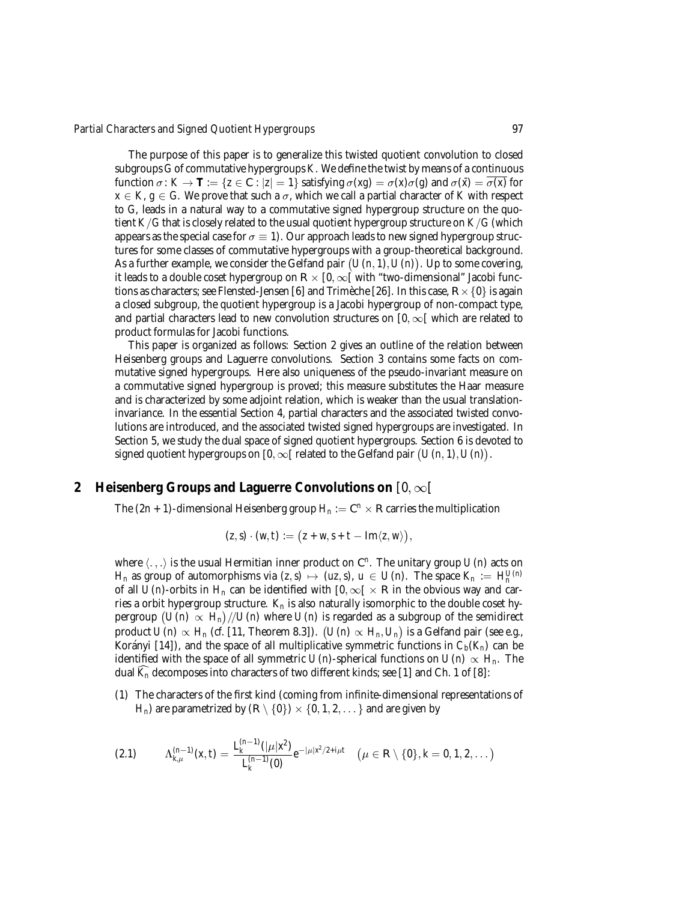The purpose of this paper is to generalize this twisted quotient convolution to closed subgroups *G* of commutative hypergroups *K*. We define the twist by means of a continuous function  $\sigma: K \to \mathbf{T} := \{z \in \mathbb{C} : |z| = 1\}$  satisfying  $\sigma(xg) = \sigma(x)\sigma(g)$  and  $\sigma(\bar{x}) = \overline{\sigma(x)}$  for  $x \in K$ ,  $g \in G$ . We prove that such a  $\sigma$ , which we call a partial character of *K* with respect to *G*, leads in a natural way to a commutative signed hypergroup structure on the quotient *K*/*G* that is closely related to the usual quotient hypergroup structure on  $K/G$  (which appears as the special case for  $\sigma \equiv 1$ . Our approach leads to new signed hypergroup structures for some classes of commutative hypergroups with a group-theoretical background. As a further example, we consider the Gelfand pair  $(U(n, 1), U(n))$ . Up to some covering, it leads to a double coset hypergroup on  $R \times [0,\infty)$  with "two-dimensional" Jacobi functions as characters; see Flensted-Jensen [6] and Trimeche [26]. In this case,  $R \times$  {0} is again a closed subgroup, the quotient hypergroup is a Jacobi hypergroup of non-compact type, and partial characters lead to new convolution structures on  $[0, \infty)$  which are related to product formulas for Jacobi functions.

This paper is organized as follows: Section 2 gives an outline of the relation between Heisenberg groups and Laguerre convolutions. Section 3 contains some facts on commutative signed hypergroups. Here also uniqueness of the pseudo-invariant measure on a commutative signed hypergroup is proved; this measure substitutes the Haar measure and is characterized by some adjoint relation, which is weaker than the usual translationinvariance. In the essential Section 4, partial characters and the associated twisted convolutions are introduced, and the associated twisted signed hypergroups are investigated. In Section 5, we study the dual space of signed quotient hypergroups. Section 6 is devoted to signed quotient hypergroups on  $[0,\infty[$  related to the Gelfand pair  $(U(n,1),U(n))$ .

### **2 Heisenberg Groups and Laguerre Convolutions on** [0,∞[

The  $(2n + 1)$ -dimensional Heisenberg group  $H_n := \mathbb{C}^n \times \mathbb{R}$  carries the multiplication

$$
(z,s)\cdot (w,t):=(z+w,s+t-\operatorname{Im}\langle z,w\rangle),
$$

where  $\langle .,.\rangle$  is the usual Hermitian inner product on  $\mathbb{C}^n$ . The unitary group  $U(n)$  acts on *H<sub>n</sub>* as group of automorphisms via  $(z, s) \mapsto (uz, s)$ ,  $u \in U(n)$ . The space  $K_n := H_n^{U(n)}$ of all *U*(*n*)-orbits in  $H_n$  can be identified with  $[0, \infty) \times \mathbb{R}$  in the obvious way and carries a orbit hypergroup structure.  $K_n$  is also naturally isomorphic to the double coset hypergroup  $(\overrightarrow{U(n)} \propto \overrightarrow{H_n})/U(n)$  where  $U(n)$  is regarded as a subgroup of the semidirect product  $\hat{U}(n) \propto H_n$  (*cf.* [11, Theorem 8.3]).  $(U(n) \propto H_n, U_n)$  is a Gelfand pair (see *e.g.*, Korányi [14]), and the space of all multiplicative symmetric functions in  $C_b(K_n)$  can be identified with the space of all symmetric  $U(n)$ -spherical functions on  $U(n) \propto H_n$ . The dual  $K_n$  decomposes into characters of two different kinds; see [1] and Ch. 1 of [8]:

(1) The characters of the first kind (coming from infinite-dimensional representations of  $H_n$ ) are parametrized by  $(R \setminus \{0\}) \times \{0, 1, 2, \ldots\}$  and are given by

$$
(2.1) \qquad \Lambda_{k,\mu}^{(n-1)}(x,t)=\frac{L_k^{(n-1)}(|\mu| x^2)}{L_k^{(n-1)}(0)}e^{-|\mu| x^2/2+i\mu t}\quad (\mu\in\mathbb{R}\setminus\{0\},k=0,1,2,\dots)
$$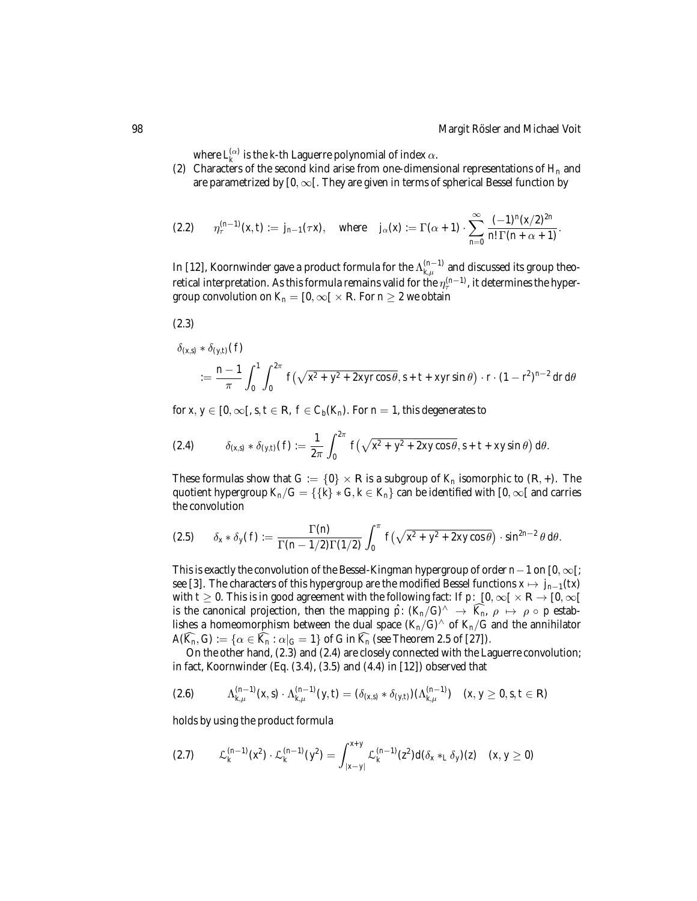where  $L_k^{(\alpha)}$  is the *k*-th Laguerre polynomial of index  $\alpha$ .

(2) Characters of the second kind arise from one-dimensional representations of  $H_n$  and are parametrized by  $[0, \infty)$ . They are given in terms of spherical Bessel function by

$$
(2.2) \t \eta_{\tau}^{(n-1)}(x,t) := j_{n-1}(\tau x), \t \text{where} \t j_{\alpha}(x) := \Gamma(\alpha+1) \cdot \sum_{n=0}^{\infty} \frac{(-1)^n (x/2)^{2n}}{n! \Gamma(n+\alpha+1)}.
$$

In [12], Koornwinder gave a product formula for the  $\Lambda_{k,\mu}^{(n-1)}$  and discussed its group theoretical interpretation. As this formula remains valid for the  $\eta_{\tau}^{(n-1)}$ , it determines the hypergroup convolution on  $K_n = [0, \infty] \times \mathbb{R}$ . For  $n \geq 2$  we obtain

$$
(2.3)
$$

 $\delta_{(x,s)} * \delta_{(y,t)}(f)$ 

$$
:=\frac{n-1}{\pi}\int_0^1\int_0^{2\pi}f\left(\sqrt{x^2+y^2+2xyr\cos\theta},s+t+xyr\sin\theta\right)\cdot r\cdot(1-r^2)^{n-2}dr\,d\theta
$$

for *x*,  $y \in [0, \infty)$ ,  $s, t \in \mathbb{R}$ ,  $f \in C_b(K_n)$ . For  $n = 1$ , this degenerates to

(2.4) 
$$
\delta_{(x,s)} * \delta_{(y,t)}(f) := \frac{1}{2\pi} \int_0^{2\pi} f(\sqrt{x^2 + y^2 + 2xy\cos\theta}, s + t + xy\sin\theta) d\theta.
$$

These formulas show that  $G := \{0\} \times \mathbb{R}$  is a subgroup of  $K_n$  isomorphic to  $(\mathbb{R}, +)$ . The quotient hypergroup  $K_n/G = \{\{k\} * G, k \in K_n\}$  can be identified with  $[0, \infty[$  and carries the convolution

$$
(2.5) \qquad \delta_x * \delta_y(f) := \frac{\Gamma(n)}{\Gamma(n-1/2)\Gamma(1/2)} \int_0^\pi f\left(\sqrt{x^2+y^2+2xy\cos\theta}\right) \cdot \sin^{2n-2}\theta \, d\theta.
$$

This is exactly the convolution of the Bessel-Kingman hypergroup of order *n*−1 on [0, ∞[; see [3]. The characters of this hypergroup are the modified Bessel functions  $x \mapsto j_{n-1}(tx)$ with *t*  $\geq$  0. This is in good agreement with the following fact: If *p*:  $[0, \infty[ \times \mathbb{R} \to [0, \infty[$ is the canonical projection, then the mapping  $\hat{p}$ :  $(K_n/G)^{\wedge} \rightarrow \widehat{K_n}$ ,  $\rho \mapsto \rho \circ p$  establishes a homeomorphism between the dual space  $(K_n/G)^{\wedge}$  of  $K_n/G$  and the annihilator  $A(K_n, G) := {\alpha \in K_n : \alpha|_G = 1}$  of *G* in  $K_n$  (see Theorem 2.5 of [27]).

On the other hand, (2.3) and (2.4) are closely connected with the Laguerre convolution; in fact, Koornwinder (Eq. (3.4), (3.5) and (4.4) in [12]) observed that

$$
(2.6) \qquad \Lambda_{k,\mu}^{(n-1)}(x,s)\cdot \Lambda_{k,\mu}^{(n-1)}(y,t)=(\delta_{(x,s)}*\delta_{(y,t)})(\Lambda_{k,\mu}^{(n-1)}) \quad (x,y\geq 0,s,t\in\mathbb{R})
$$

holds by using the product formula

$$
(2.7) \qquad \mathcal{L}_{k}^{(n-1)}(x^{2}) \cdot \mathcal{L}_{k}^{(n-1)}(y^{2}) = \int_{|x-y|}^{x+y} \mathcal{L}_{k}^{(n-1)}(z^{2}) d(\delta_{x} *_{L} \delta_{y})(z) \quad (x, y \geq 0)
$$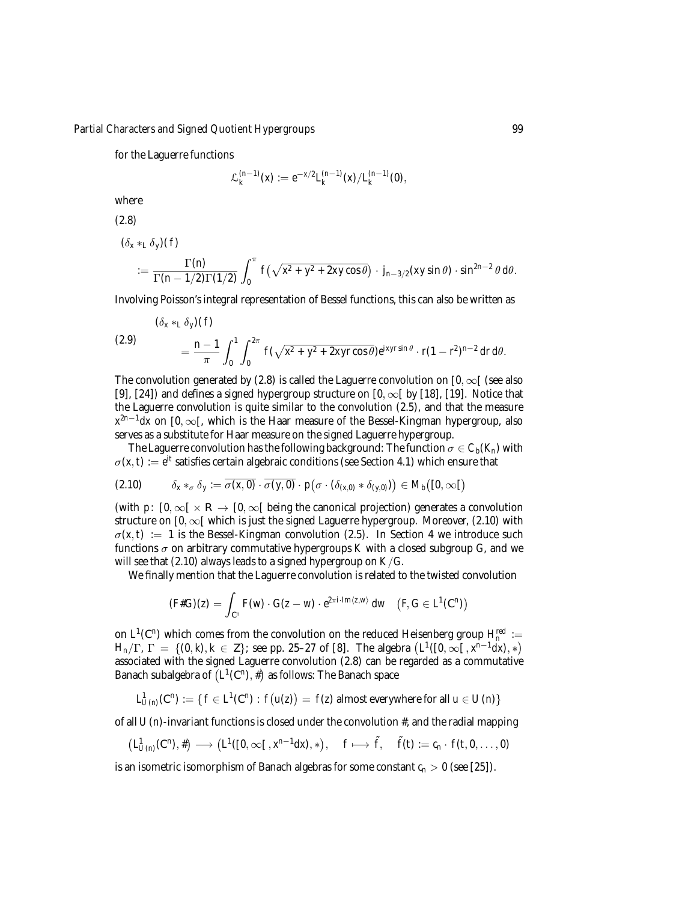for the Laguerre functions

$$
\mathcal{L}_k^{(n-1)}(x) := e^{-x/2} L_k^{(n-1)}(x) / L_k^{(n-1)}(0),
$$

where

(2.8)

 $(\delta_x *_{L} \delta_y)(f)$ 

$$
:=\frac{\Gamma(n)}{\Gamma(n-1/2)\Gamma(1/2)}\int_0^{\pi}f(\sqrt{x^2+y^2+2xy\cos\theta})\cdot j_{n-3/2}(xy\sin\theta)\cdot\sin^{2n-2}\theta\,d\theta.
$$

Involving Poisson's integral representation of Bessel functions, this can also be written as

(2.9) 
$$
\left(\delta_x *_{L} \delta_y\right)(f) = \frac{n-1}{\pi} \int_0^1 \int_0^{2\pi} f(\sqrt{x^2 + y^2 + 2xyr\cos\theta}) e^{ixyr\sin\theta} \cdot r(1 - r^2)^{n-2} dr d\theta.
$$

The convolution generated by (2.8) is called the Laguerre convolution on  $[0, \infty)$  (see also [9], [24]) and defines a signed hypergroup structure on  $[0, \infty)$  by [18], [19]. Notice that the Laguerre convolution is quite similar to the convolution (2.5), and that the measure  $x^{2n-1}dx$  on [0, ∞[, which is the Haar measure of the Bessel-Kingman hypergroup, also serves as a substitute for Haar measure on the signed Laguerre hypergroup.

The Laguerre convolution has the following background: The function  $\sigma \in C_b(K_n)$  with  $\sigma(x, t) := e^{it}$  satisfies certain algebraic conditions (see Section 4.1) which ensure that

$$
(2.10) \qquad \delta_x *_{\sigma} \delta_y := \overline{\sigma(x,0)} \cdot \overline{\sigma(y,0)} \cdot p(\sigma \cdot (\delta_{(x,0)} * \delta_{(y,0)})) \in M_b([0,\infty[)
$$

(with *p*:  $[0, \infty] \times \mathbb{R} \to [0, \infty]$  being the canonical projection) generates a convolution structure on  $[0, \infty)$  which is just the signed Laguerre hypergroup. Moreover, (2.10) with  $\sigma(x, t) := 1$  is the Bessel-Kingman convolution (2.5). In Section 4 we introduce such functions  $\sigma$  on arbitrary commutative hypergroups *K* with a closed subgroup *G*, and we will see that (2.10) always leads to a signed hypergroup on *K*/*G*.

We finally mention that the Laguerre convolution is related to the twisted convolution

$$
(F\#G)(z)=\int_{\mathbb{C}^n}F(w)\cdot G(z-w)\cdot e^{2\pi i\cdot \operatorname{Im}\langle z,w\rangle}\,dw\quad \big(F,G\in L^1(\mathbb{C}^n)\big)
$$

on  $L^1(\mathbb{C}^n)$  which comes from the convolution on the reduced Heisenberg group  $H_n^{red}:=$ *H<sub>n</sub>*/Γ,  $\Gamma = \{ (0, k), k \in \mathbb{Z} \}$ ; see pp. 25–27 of [8]. The algebra  $(L^1([0, \infty), x^{n-1}dx), *)$ associated with the signed Laguerre convolution (2.8) can be regarded as a commutative Banach subalgebra of  $\overline{(L^1(\mathbb C^n), \#)}$  as follows: The Banach space

$$
L^1_{U(n)}(\mathbb{C}^n) := \{ f \in L^1(\mathbb{C}^n) : f(u(z)) = f(z) \text{ almost everywhere for all } u \in U(n) \}
$$

of all  $U(n)$ -invariant functions is closed under the convolution  $\#$ , and the radial mapping

$$
(L^1_{U(n)}(\mathbb{C}^n),\#) \longrightarrow (L^1([0,\infty[~,x^{n-1}dx),*), \quad f \longmapsto \tilde{f}, \quad \tilde{f}(t) := c_n \cdot f(t,0,\dots,0)
$$

is an isometric isomorphism of Banach algebras for some constant  $c_n > 0$  (see [25]).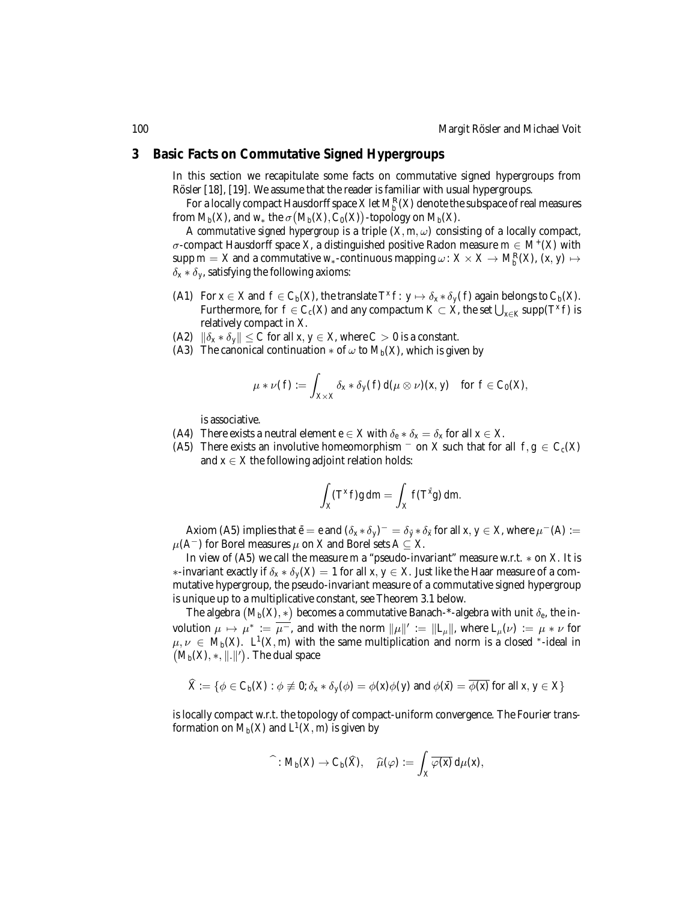#### **3 Basic Facts on Commutative Signed Hypergroups**

In this section we recapitulate some facts on commutative signed hypergroups from Rösler [18], [19]. We assume that the reader is familiar with usual hypergroups.

For a locally compact Hausdorff space  $X$  let  $M_b^{\mathbb{R}}(X)$  denote the subspace of real measures from  $M_b(X)$ , and  $w_*$  the  $\sigma\big(M_b(X), \dot{C}_0(X)\big)$ -topology on  $M_b(X)$ .

A *commutative signed hypergroup* is a triple  $(X, m, \omega)$  consisting of a locally compact, σ-compact Hausdorff space *X*, a distinguished positive Radon measure *m* ∈ *M*+(*X*) with  $\sup p$   $m=X$  and a commutative  $w_*$ -continuous mapping  $\omega\colon X\times X\to M_b^{\mathbb R}(X)$ ,  $(x,y)\mapsto x$  $\delta_x * \delta_y$ , satisfying the following axioms:

- (A1) For  $x \in X$  and  $f \in C_b(X)$ , the translate  $T^x f: y \mapsto \delta_x * \delta_y(f)$  again belongs to  $C_b(X)$ . Furthermore, for  $f \in C_c(X)$  and any compactum  $K \subset X$ , the set  $\bigcup_{x \in K} \mathrm{supp}(T^x f)$  is relatively compact in *X*.
- (A2)  $\|\delta_x * \delta_y\| \leq C$  for all  $x, y \in X$ , where  $C > 0$  is a constant.
- (A3) The canonical continuation  $*$  of  $\omega$  to  $M_h(X)$ , which is given by

$$
\mu * \nu(f) := \int_{X \times X} \delta_x * \delta_y(f) \, d(\mu \otimes \nu)(x, y) \quad \text{for } f \in C_0(X),
$$

is associative.

- (A4) There exists a neutral element  $e \in X$  with  $\delta_e * \delta_x = \delta_x$  for all  $x \in X$ .
- (A5) There exists an involutive homeomorphism  $\bar{a}$  on *X* such that for all  $f, g \in C_c(X)$ and  $x \in X$  the following adjoint relation holds:

$$
\int_X (T^x f)g \, dm = \int_X f(T^{\bar{x}}g) \, dm.
$$

Axiom (A5) implies that  $\bar{e} = e$  and  $(\delta_x * \delta_y)^{-} = \delta_{\bar{y}} * \delta_{\bar{x}}$  for all  $x, y \in X$ , where  $\mu^{-}(A) :=$  $\mu(A^-)$  for Borel measures  $\mu$  on *X* and Borel sets *A* ⊆ *X*.

In view of (A5) we call the measure *m* a "pseudo-invariant" measure w.r.t. ∗ on *X*. It is ∗-invariant exactly if δ*<sup>x</sup>* ∗ δ*<sup>y</sup>* (*X*) = 1 for all *x*, *y* ∈ *X*. Just like the Haar measure of a commutative hypergroup, the pseudo-invariant measure of a commutative signed hypergroup is unique up to a multiplicative constant, see Theorem 3.1 below.

The algebra  $(M_b(X),*)$  becomes a commutative Banach-\*-algebra with unit  $\delta_e$ , the involution  $\mu \mapsto \mu^* := \overline{\mu^-}$ , and with the norm  $\|\mu\|' := \|L_\mu\|$ , where  $L_\mu(\nu) := \mu * \nu$  for  $\mu, \nu \in M_b(X)$ .  $L^1(X, m)$  with the same multiplication and norm is a closed \*-ideal in  $\left( M_b(X), *, \|.\|'\right)$ . The dual space

$$
\widehat{X} := \{ \phi \in C_b(X) : \phi \not\equiv 0; \delta_x * \delta_y(\phi) = \phi(x)\phi(y) \text{ and } \phi(\bar{x}) = \overline{\phi(x)} \text{ for all } x, y \in X \}
$$

is locally compact w.r.t. the topology of compact-uniform convergence. The Fourier transformation on  $M_b(X)$  and  $L^1(X, m)$  is given by

$$
\widehat{\phantom{a}}: M_b(X) \to C_b(\widehat{X}), \quad \widehat{\mu}(\varphi) := \int_X \overline{\varphi(x)} \, d\mu(x),
$$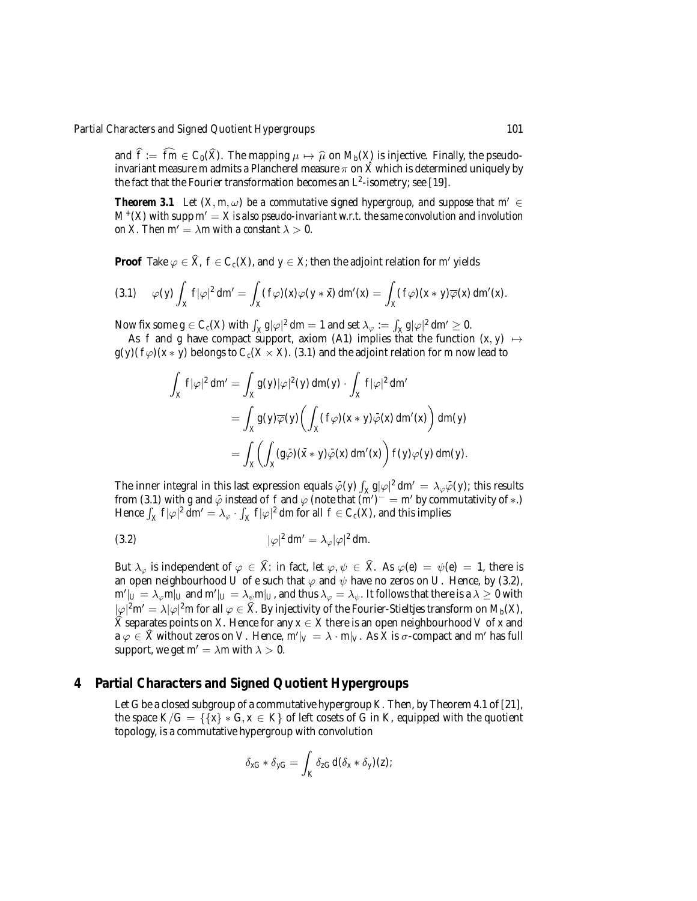and  $f := fm \in C_0(X)$ . The mapping  $\mu \mapsto \widehat{\mu}$  on  $M_b(X)$  is injective. Finally, the pseudo-<br>investigation comes as during Planchard magnetic and  $\widehat{Y}$  which is determined uniquely be invariant measure *m* admits a Plancherel measure  $\pi$  on  $\hat{X}$  which is determined uniquely by the fact that the Fourier transformation becomes an *L*2-isometry; see [19].

*Theorem 3.1 Let*  $(X, m, \omega)$  *be a commutative signed hypergroup, and suppose that m'* ∈  $M^{+}(X)$  *with* supp  $m^{0} = X$  *is also pseudo-invariant w.r.t. the same convolution and involution on X. Then m'* =  $\lambda$ *m with a constant*  $\lambda$  > 0*.* 

**Proof** Take  $\varphi \in \hat{X}$ ,  $f \in C_c(X)$ , and  $y \in X$ ; then the adjoint relation for *m'* yields

$$
(3.1) \quad \varphi(y)\int_X f|\varphi|^2\,dm'=\int_X (f\varphi)(x)\varphi(y*\bar{x})\,dm'(x)=\int_X (f\varphi)(x*y)\overline{\varphi}(x)\,dm'(x).
$$

Now fix some  $g \in C_c(X)$  with  $\int_X g |\varphi|^2 dm = 1$  and set  $\lambda_{\varphi} := \int_X g |\varphi|^2 dm' \ge 0$ .

As *f* and *g* have compact support, axiom (A1) implies that the function  $(x, y) \mapsto$  $g(y)(f\varphi)(x * y)$  belongs to  $C_c(X \times X)$ . (3.1) and the adjoint relation for *m* now lead to

$$
\int_X f|\varphi|^2 dm' = \int_X g(y)|\varphi|^2(y) dm(y) \cdot \int_X f|\varphi|^2 dm'
$$
  
= 
$$
\int_X g(y)\overline{\varphi}(y) \left( \int_X (f\varphi)(x*y)\overline{\varphi}(x) dm'(x) \right) dm(y)
$$
  
= 
$$
\int_X \left( \int_X (g\overline{\varphi})(\overline{x}*y)\overline{\varphi}(x) dm'(x) \right) f(y)\varphi(y) dm(y).
$$

The inner integral in this last expression equals  $\bar{\varphi}(y) \int_X g |\varphi|^2 dm' = \lambda_{\varphi} \bar{\varphi}(y)$ ; this results from (3.1) with *g* and  $\bar{\varphi}$  instead of *f* and  $\varphi$  (note that  $(\vec{m}')^- = \vec{m}'$  by commutativity of  $*$ .) Hence  $\int_X f |\varphi|^2 dm' = \lambda_{\varphi} \cdot \int_X f |\varphi|^2 dm$  for all  $f \in C_c(X)$ , and this implies

$$
(3.2) \t\t |\varphi|^2 \, dm' = \lambda_{\varphi} |\varphi|^2 \, dm.
$$

But  $\lambda_{\varphi}$  is independent of  $\varphi \in \hat{X}$ : in fact, let  $\varphi, \psi \in \hat{X}$ . As  $\varphi(e) = \psi(e) = 1$ , there is an open neighbourhood *U* of *e* such that  $\varphi$  and  $\psi$  have no zeros on *U*. Hence, by (3.2),  $m'|_U=\lambda_\varphi m|_U$  and  $m'|_U=\lambda_\psi m|_U$ , and thus  $\lambda_\varphi=\lambda_\psi.$  It follows that there is a  $\lambda\geq 0$  with  $|\varphi|^2$ *m* $'=\lambda |\varphi|^2$ *m* for all  $\varphi\in \widehat{X}$ . By injectivity of the Fourier-Stieltjes transform on  $M_b(X)$ ,  $\hat{X}$  separates points on *X*. Hence for any  $x \in X$  there is an open neighbourhood *V* of *x* and  $a \varphi \in \widehat{X}$  without zeros on *V*. Hence,  $m'|_V = \lambda \cdot m|_V$ . As *X* is  $\sigma$ -compact and  $m'$  has full support, we get  $m' = \lambda m$  with  $\lambda > 0$ .

### **4 Partial Characters and Signed Quotient Hypergroups**

Let *G* be a closed subgroup of a commutative hypergroup *K*. Then, by Theorem 4.1 of [21], the space  $K/G = \{\{x\} * G, x \in K\}$  of left cosets of *G* in *K*, equipped with the quotient topology, is a commutative hypergroup with convolution

$$
\delta_{xG} * \delta_{yG} = \int_K \delta_{zG} d(\delta_x * \delta_y)(z);
$$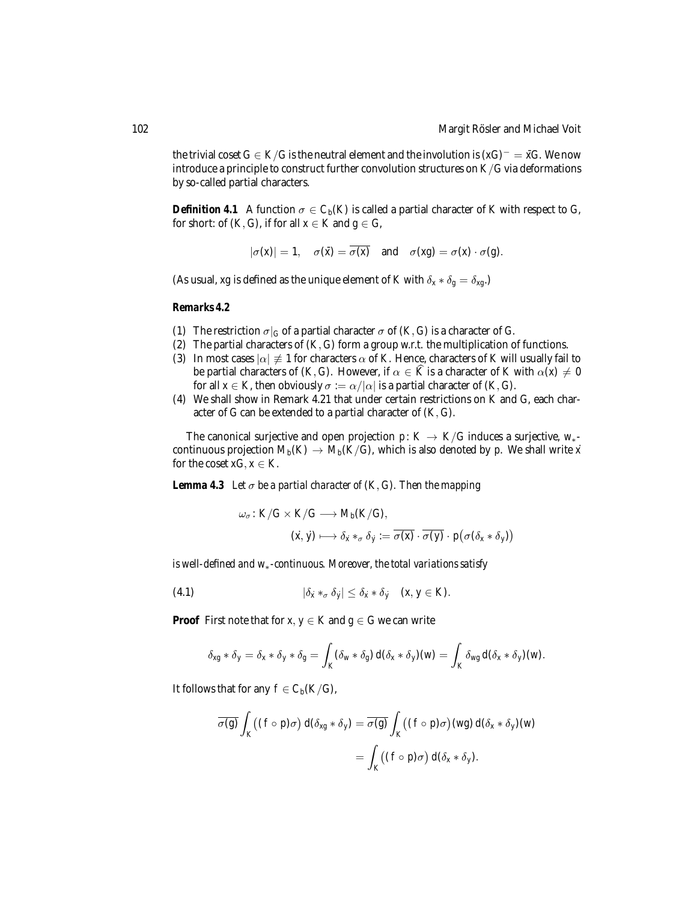the trivial coset  $G \in K/G$  is the neutral element and the involution is  $(xG)^{-} = \overline{x}G$ . We now introduce a principle to construct further convolution structures on *K*/*G* via deformations by so-called partial characters.

*Definition 4.1* A function  $\sigma \in C_b(K)$  is called a partial character of K with respect to G, for short: of  $(K, G)$ , if for all  $x \in K$  and  $g \in G$ ,

$$
|\sigma(x)| = 1, \quad \sigma(\bar{x}) = \overline{\sigma(x)} \quad \text{and} \quad \sigma(xg) = \sigma(x) \cdot \sigma(g).
$$

(As usual, *xg* is defined as the unique element of *K* with  $\delta_x * \delta_g = \delta_{xg}$ .)

#### *Remarks 4.2*

- (1) The restriction  $\sigma|_G$  of a partial character  $\sigma$  of  $(K, G)$  is a character of *G*.
- (2) The partial characters of (*K*,*G*) form a group w.r.t. the multiplication of functions.
- (3) In most cases  $|\alpha| \neq 1$  for characters  $\alpha$  of *K*. Hence, characters of *K* will usually fail to be partial characters of  $(K, G)$ . However, if  $\alpha \in \hat{K}$  is a character of *K* with  $\alpha(x) \neq 0$ for all  $x \in K$ , then obviously  $\sigma := \alpha/|\alpha|$  is a partial character of  $(K, G)$ .
- (4) We shall show in Remark 4.21 that under certain restrictions on *K* and *G*, each character of *G* can be extended to a partial character of (*K*,*G*).

The canonical surjective and open projection *p*:  $K \rightarrow K/G$  induces a surjective,  $W_*$ continuous projection  $M_b(K) \to M_b(K/G)$ , which is also denoted by *p*. We shall write *x* for the coset  $xG, x \in K$ .

*Lemma 4.3 Let*  $\sigma$  *be a partial character of*  $(K, G)$ *. Then the mapping* 

$$
\omega_{\sigma}: K/G \times K/G \longrightarrow M_b(K/G),
$$
  

$$
(\dot{x}, \dot{y}) \longmapsto \delta_{\dot{x}} *_{\sigma} \delta_{\dot{y}} := \overline{\sigma(x)} \cdot \overline{\sigma(y)} \cdot p(\sigma(\delta_x * \delta_y))
$$

*is well-defined and w*∗*-continuous. Moreover, the total variations satisfy*

(4.1)  $|\delta_{\dot{x}} *_{\sigma} \delta_{\dot{y}}| \leq \delta_{\dot{x}} * \delta_{\dot{y}} \quad (x, y \in K).$ 

**Proof** First note that for  $x, y \in K$  and  $g \in G$  we can write

$$
\delta_{xg} * \delta_y = \delta_x * \delta_y * \delta_g = \int_K (\delta_w * \delta_g) d(\delta_x * \delta_y)(w) = \int_K \delta_{wg} d(\delta_x * \delta_y)(w).
$$

It follows that for any  $f \in C_b(K/G)$ ,

$$
\overline{\sigma(g)} \int_K ((f \circ p)\sigma) d(\delta_{xg} * \delta_y) = \overline{\sigma(g)} \int_K ((f \circ p)\sigma) (wg) d(\delta_x * \delta_y) (w)
$$
  
= 
$$
\int_K ((f \circ p)\sigma) d(\delta_x * \delta_y).
$$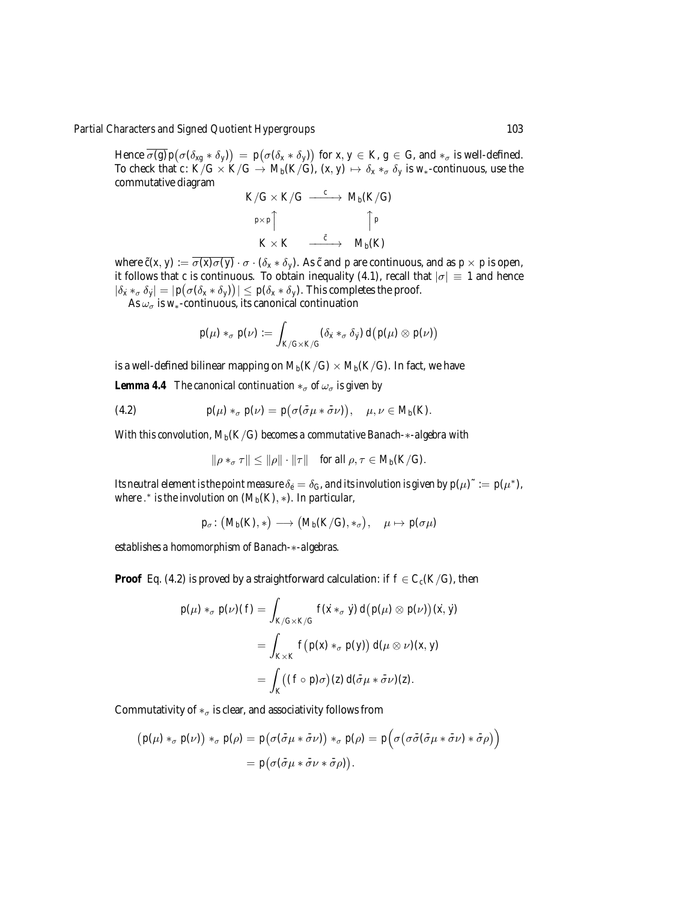Hence  $\overline{\sigma(g)} p(\sigma(\delta_{xg} * \delta_y)) = p(\sigma(\delta_x * \delta_y))$  for  $x, y \in K, g \in G$ , and  $*_\sigma$  is well-defined. To check that  $c: K/G \times K/G \rightarrow M_b(K/G)$ ,  $(x, y) \mapsto \delta_x *_{\sigma} \delta_y$  is  $w_*$ -continuous, use the commutative diagram

$$
K/G \times K/G \xrightarrow{c} M_b(K/G)
$$
  
\n
$$
p \times p \uparrow \qquad \qquad \uparrow p
$$
  
\n
$$
K \times K \xrightarrow{\tilde{c}} M_b(K)
$$

where  $\tilde{c}(x, y) := \overline{\sigma(x)\sigma(y)} \cdot \sigma \cdot (\delta_x * \delta_y)$ . As  $\tilde{c}$  and *p* are continuous, and as  $p \times p$  is open, it follows that *c* is continuous. To obtain inequality (4.1), recall that  $|\sigma| \equiv 1$  and hence  $|\delta_x *_{\sigma} \delta_y| = |p(\sigma(\delta_x * \delta_y))| \leq p(\delta_x * \delta_y)$ . This completes the proof.

As  $\omega_{\sigma}$  is *w*<sub>∗</sub>-continuous, its canonical continuation

$$
p(\mu) *_{\sigma} p(\nu) := \int_{K/G \times K/G} (\delta_{\dot{x}} *_{\sigma} \delta_{\dot{y}}) d(p(\mu) \otimes p(\nu))
$$

is a well-defined bilinear mapping on  $M_b(K/G) \times M_b(K/G)$ . In fact, we have

*Lemma 4.4 The canonical continuation*  $*_{\sigma}$  *of*  $\omega_{\sigma}$  *is given by* 

(4.2) 
$$
p(\mu) *_{\sigma} p(\nu) = p(\sigma(\bar{\sigma}\mu * \bar{\sigma}\nu)), \quad \mu, \nu \in M_b(K).
$$

*With this convolution, Mb*(*K*/*G*) *becomes a commutative Banach-*∗*-algebra with*

$$
\|\rho *_{\sigma} \tau\| \le \|\rho\| \cdot \|\tau\| \quad \text{for all } \rho, \tau \in M_b(K/G).
$$

*Its neutral element is the point measure*  $\delta_e = \delta_G$ , and its involution is given by  $p(\mu)^\sim := p(\mu^*),$ *where* . <sup>∗</sup> *is the involution on* (*Mb*(*K*), ∗)*. In particular,*

$$
p_\sigma\colon \big(M_b(K), *\big)\longrightarrow \big(M_b(K/G), *_\sigma\big),\quad \mu\mapsto p(\sigma\mu)
$$

*establishes a homomorphism of Banach-*∗*-algebras.*

**Proof** Eq. (4.2) is proved by a straightforward calculation: if  $f \in C_c(K/G)$ , then

$$
p(\mu) *_{\sigma} p(\nu)(f) = \int_{K/G \times K/G} f(\dot{x} *_{\sigma} \dot{y}) d(p(\mu) \otimes p(\nu))(\dot{x}, \dot{y})
$$
  
= 
$$
\int_{K \times K} f(p(x) *_{\sigma} p(y)) d(\mu \otimes \nu)(x, y)
$$
  
= 
$$
\int_{K} ((f \circ p)\sigma)(z) d(\bar{\sigma}\mu * \bar{\sigma}\nu)(z).
$$

Commutativity of  $*_{\sigma}$  is clear, and associativity follows from

$$
(p(\mu) *_{\sigma} p(\nu)) *_{\sigma} p(\rho) = p(\sigma(\bar{\sigma}\mu * \bar{\sigma}\nu)) *_{\sigma} p(\rho) = p(\sigma(\sigma\bar{\sigma}(\bar{\sigma}\mu * \bar{\sigma}\nu) * \bar{\sigma}\rho))
$$
  
=  $p(\sigma(\bar{\sigma}\mu * \bar{\sigma}\nu * \bar{\sigma}\rho)).$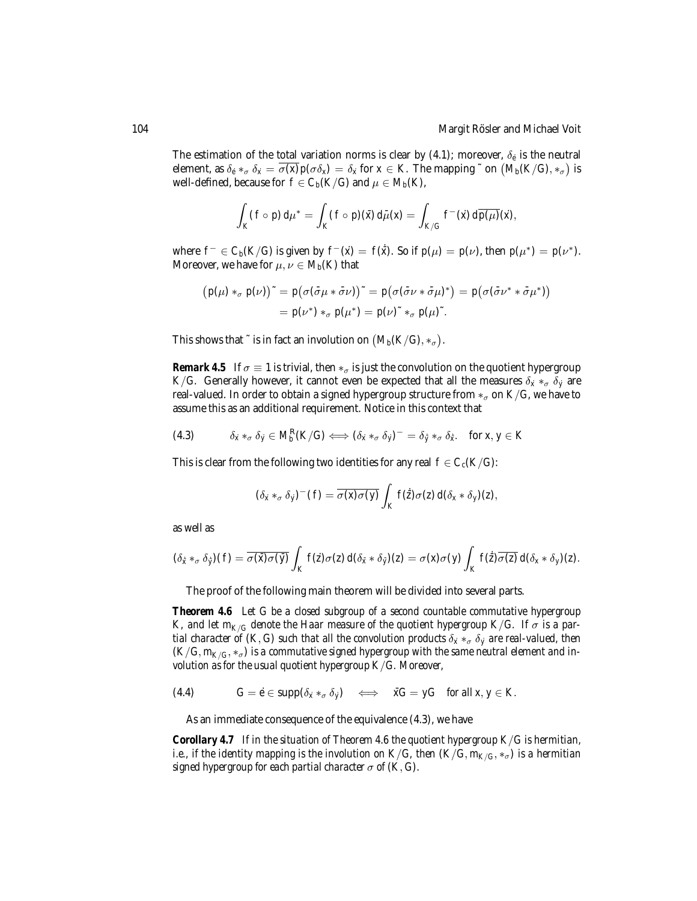The estimation of the total variation norms is clear by (4.1); moreover,  $\delta_{\hat{e}}$  is the neutral element, as  $\delta_e *_{\sigma} \delta_x = \overline{\sigma(x)} p(\sigma \delta_x) = \delta_x$  for  $x \in K$ . The mapping  $\tilde{\phantom{a}}$  on  $\big( M_b(K/G), *_{\sigma} \big)$  is well-defined, because for  $f \in C_b(K/G)$  and  $\mu \in M_b(K)$ ,

$$
\int_K (f \circ p) d\mu^* = \int_K (f \circ p)(\bar{x}) d\bar{\mu}(x) = \int_{K/G} f^-(\dot{x}) d\overline{p(\mu)}(\dot{x}),
$$

where  $f^- \in C_b(K/G)$  is given by  $f^-(\dot{x}) = f(\dot{\bar{x}})$ . So if  $p(\mu) = p(\nu)$ , then  $p(\mu^*) = p(\nu^*)$ . Moreover, we have for  $\mu, \nu \in M_b(K)$  that

$$
(p(\mu) *_{\sigma} p(\nu)) \tilde{ } = p(\sigma(\bar{\sigma}\mu * \bar{\sigma}\nu)) \tilde{ } = p(\sigma(\bar{\sigma}\nu * \bar{\sigma}\mu)^*) = p(\sigma(\bar{\sigma}\nu^* * \bar{\sigma}\mu^*))
$$
  
=  $p(\nu^*) *_{\sigma} p(\mu^*) = p(\nu)^* *_{\sigma} p(\mu)^*.$ 

This shows that  $\tilde{f}$  is in fact an involution on  $(M_b(K/G), *_\sigma)$ .

*Remark 4.5* If  $\sigma \equiv 1$  is trivial, then  $*_{\sigma}$  is just the convolution on the quotient hypergroup *K/G.* Generally however, it cannot even be expected that all the measures  $\delta_x *_{\sigma} \delta_y$  are real-valued. In order to obtain a signed hypergroup structure from  $*_\sigma$  on  $K/G$ , we have to assume this as an additional requirement. Notice in this context that

δ*x*˙ ∗<sup>σ</sup> δ*y*˙ ∈ *M*<sup>R</sup> *<sup>b</sup>* (*K*/*G*) ⇐⇒ (δ*x*˙ ∗<sup>σ</sup> δ*y*˙) <sup>−</sup> = δ*y*˙ ¯ ∗<sup>σ</sup> δ*x*˙ ¯ (4.3) . for *x*, *y* ∈ *K*

This is clear from the following two identities for any real  $f \in C_c(K/G)$ :

$$
(\delta_{\dot x} *_{\sigma} \delta_{\dot y})^-(f) = \overline{\sigma(x)\sigma(y)} \int_K f(\dot z)\sigma(z) d(\delta_x * \delta_y)(z),
$$

as well as

$$
(\delta_{\tilde{x}} *_{\sigma} \delta_{\tilde{y}})(f) = \overline{\sigma(\tilde{x})\sigma(\tilde{y})} \int_{K} f(\tilde{z})\sigma(z) d(\delta_{\tilde{x}} * \delta_{\tilde{y}})(z) = \sigma(x)\sigma(y) \int_{K} f(\tilde{z}) \overline{\sigma(z)} d(\delta_{x} * \delta_{y})(z).
$$

The proof of the following main theorem will be divided into several parts.

*Theorem 4.6 Let G be a closed subgroup of a second countable commutative hypergroup K*, and let  $m_{K/G}$  denote the Haar measure of the quotient hypergroup  $K/G$ . If  $\sigma$  is a par*tial character of* (*K*, *G*) *such that all the convolution products*  $\delta_{\dot{x}} *_{\sigma} \delta_{\dot{y}}$  *are real-valued, then*  $(K/G, m_{K/G}, *_{\sigma})$  is a commutative signed hypergroup with the same neutral element and in*volution as for the usual quotient hypergroup K*/*G. Moreover,*

(4.4) 
$$
G = \dot{e} \in \mathrm{supp}(\delta_{\dot{x}} *_{\sigma} \delta_{\dot{y}}) \iff \bar{x}G = yG \text{ for all } x, y \in K.
$$

As an immediate consequence of the equivalence (4.3), we have

*Corollary 4.7 If in the situation of Theorem 4.6 the quotient hypergroup K*/*G is hermitian, i.e., if the identity mapping is the involution on*  $K/G$ *, then*  $(K/G, m_{K/G}, *_{\sigma})$  *is a hermitian signed hypergroup for each partial character*  $\sigma$  *of*  $(K, G)$ *.*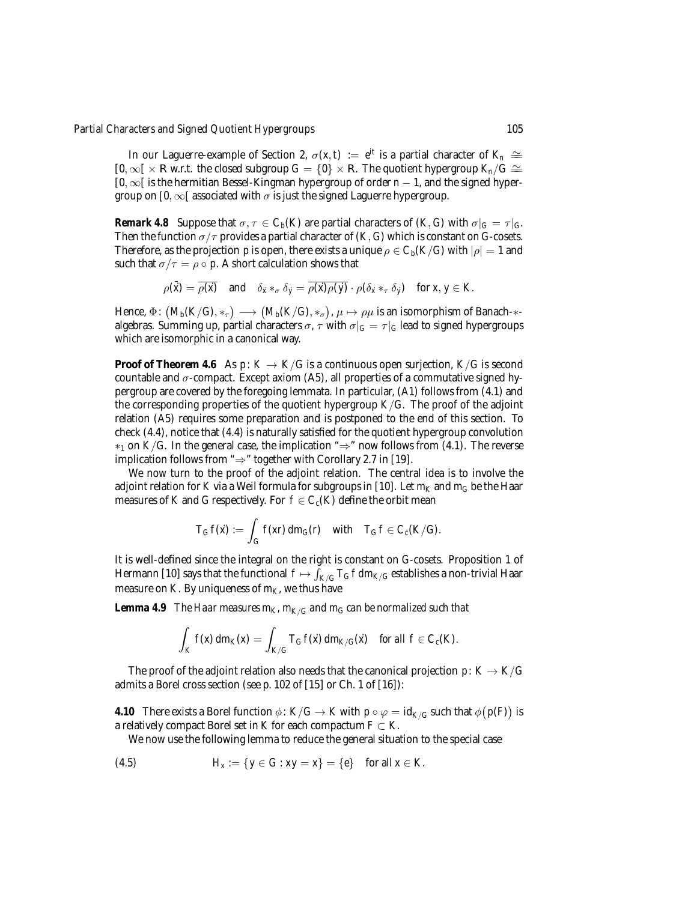In our Laguerre-example of Section 2,  $\sigma(x, t) := e^{it}$  is a partial character of  $K_n \cong$  $[0, \infty[ \times \mathbb{R} \text{ w.r.t. the closed subgroup } G = \{0\} \times \mathbb{R}$ . The quotient hypergroup  $K_n/G \cong$ [0, ∞[ is the hermitian Bessel-Kingman hypergroup of order *n* − 1, and the signed hypergroup on [0,  $\infty$ [ associated with  $\sigma$  is just the signed Laguerre hypergroup.

*Remark 4.8* Suppose that  $\sigma, \tau \in C_b(K)$  are partial characters of  $(K, G)$  with  $\sigma|_G = \tau|_G$ . Then the function  $\sigma/\tau$  provides a partial character of  $(K, G)$  which is constant on *G*-cosets. Therefore, as the projection *p* is open, there exists a unique  $\rho \in C_b(K/G)$  with  $|\rho| = 1$  and such that  $\sigma/\tau = \rho \circ p$ . A short calculation shows that

$$
\rho(\bar{x}) = \overline{\rho(\bar{x})} \quad \text{and} \quad \delta_{\bar{x}} *_{\sigma} \delta_{\bar{y}} = \overline{\rho(\bar{x}) \rho(\bar{y})} \cdot \rho(\delta_{\bar{x}} *_{\tau} \delta_{\bar{y}}) \quad \text{for } \bar{x}, \bar{y} \in K.
$$

Hence,  $\Phi\colon \big(M_b(K/G), \ast_\tau\big) \longrightarrow \big(M_b(K/G), \ast_\sigma\big)$ ,  $\mu \mapsto \rho\mu$  is an isomorphism of Banach- $\ast$ algebras. Summing up, partial characters  $\sigma$ ,  $\tau$  with  $\sigma|_G = \tau|_G$  lead to signed hypergroups which are isomorphic in a canonical way.

**Proof of Theorem 4.6** As  $p: K \to K/G$  is a continuous open surjection,  $K/G$  is second countable and  $\sigma$ -compact. Except axiom (A5), all properties of a commutative signed hypergroup are covered by the foregoing lemmata. In particular, (A1) follows from (4.1) and the corresponding properties of the quotient hypergroup  $K/G$ . The proof of the adjoint relation (A5) requires some preparation and is postponed to the end of this section. To check (4.4), notice that (4.4) is naturally satisfied for the quotient hypergroup convolution  $*_1$  on *K/G*. In the general case, the implication "⇒" now follows from (4.1). The reverse implication follows from " $\Rightarrow$ " together with Corollary 2.7 in [19].

We now turn to the proof of the adjoint relation. The central idea is to involve the adjoint relation for *K* via a Weil formula for subgroups in [10]. Let  $m_K$  and  $m_G$  be the Haar measures of *K* and *G* respectively. For  $f \in C_c(K)$  define the orbit mean

$$
T_G f(x) := \int_G f(xr) dm_G(r) \quad \text{with} \quad T_G f \in C_c(K/G).
$$

It is well-defined since the integral on the right is constant on *G*-cosets. Proposition 1 of Hermann [10] says that the functional  $f \mapsto \int_{K/G} T_Gf\,dm_{K/G}$  establishes a non-trivial Haar measure on *K*. By uniqueness of  $m<sub>K</sub>$ , we thus have

**Lemma 4.9** *The Haar measures*  $m_K$ ,  $m_{K/G}$  *and*  $m_G$  *can be normalized such that* 

$$
\int_K f(x) dm_K(x) = \int_{K/G} T_G f(x) dm_{K/G}(x) \quad \text{for all } f \in C_c(K).
$$

The proof of the adjoint relation also needs that the canonical projection  $p: K \to K/G$ admits a Borel cross section (see p. 102 of [15] or Ch. 1 of [16]):

*4.10* There exists a Borel function  $\phi \colon K/G \to K$  with  $p \circ \varphi = \mathrm{id}_{K/G}$  such that  $\phi(p(F))$  is a relatively compact Borel set in *K* for each compactum  $F \subset K$ .

We now use the following lemma to reduce the general situation to the special case

(4.5) 
$$
H_x := \{y \in G : xy = x\} = \{e\} \text{ for all } x \in K.
$$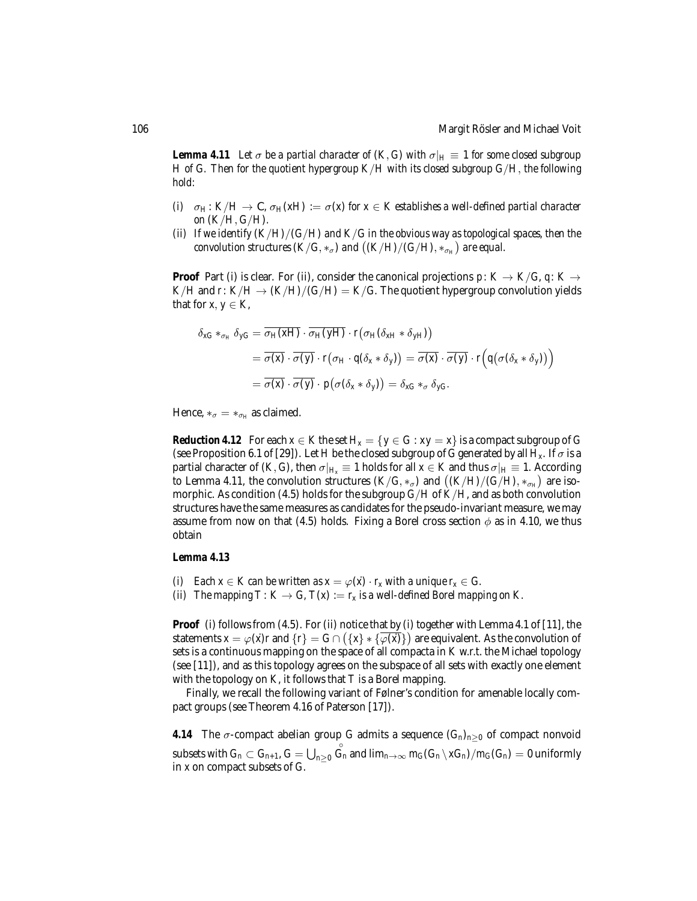*Lemma 4.11* Let  $\sigma$  be a partial character of  $(K, G)$  with  $\sigma|_H \equiv 1$  for some closed subgroup *H of G. Then for the quotient hypergroup K*/*H with its closed subgroup G*/*H*, *the following hold:*

- *(i)*  $\sigma_H: K/H \to \mathbb{C}$ ,  $\sigma_H(xH) := \sigma(x)$  *for*  $x \in K$  establishes a well-defined partial character *on* (*K*/*H*,*G*/*H*)*.*
- *(ii) If we identify* (*K*/*H*)/(*G*/*H*) *and K*/*G in the obvious way as topological spaces, then the convolution structures*  $(K/G, *_{\sigma})$  *and*  $((K/H)/(G/H), *_{\sigma_H})$  *are equal.*

**Proof** Part (i) is clear. For (ii), consider the canonical projections  $p: K \to K/G$ ,  $q: K \to K/G$  $K/H$  and *r*:  $K/H \rightarrow (K/H)/(G/H) = K/G$ . The quotient hypergroup convolution yields that for *x*,  $y \in K$ ,

$$
\delta_{xG} *_{\sigma_H} \delta_{yG} = \overline{\sigma_H(xH)} \cdot \overline{\sigma_H(yH)} \cdot r(\sigma_H(\delta_{xH} * \delta_{yH}))
$$
  
= 
$$
\overline{\sigma(x)} \cdot \overline{\sigma(y)} \cdot r(\sigma_H \cdot q(\delta_x * \delta_y)) = \overline{\sigma(x)} \cdot \overline{\sigma(y)} \cdot r(q(\sigma(\delta_x * \delta_y)))
$$
  
= 
$$
\overline{\sigma(x)} \cdot \overline{\sigma(y)} \cdot p(\sigma(\delta_x * \delta_y)) = \delta_{xG} *_{\sigma} \delta_{yG}.
$$

Hence,  $*_\sigma = *_{\sigma_H}$  as claimed.

*Reduction 4.12* For each  $x \in K$  the set  $H_x = \{y \in G : xy = x\}$  is a compact subgroup of G (see Proposition 6.1 of [29]). Let *H* be the closed subgroup of *G* generated by all  $H_x$ . If  $\sigma$  is a partial character of  $(K, G)$ , then  $\sigma|_{H_x} \equiv 1$  holds for all  $x \in K$  and thus  $\sigma|_{H} \equiv 1$ . According to Lemma 4.11, the convolution structures  $(K/G, *_{\sigma})$  and  $((K/H)/(G/H), *_{\sigma_H})$  are isomorphic. As condition (4.5) holds for the subgroup *G*/*H* of *K*/*H*, and as both convolution structures have the same measures as candidates for the pseudo-invariant measure, we may assume from now on that (4.5) holds. Fixing a Borel cross section  $\phi$  as in 4.10, we thus obtain

#### *Lemma 4.13*

- *(i)* Each  $x \in K$  can be written as  $x = \varphi(x) \cdot r_x$  with a unique  $r_x \in G$ .
- *(ii)* The mapping  $T: K \to G$ ,  $T(x) := r_x$  is a well-defined Borel mapping on K.

**Proof** (i) follows from (4.5). For (ii) notice that by (i) together with Lemma 4.1 of [11], the statements  $x = \varphi(x)r$  and  $\{r\} = G \cap (\{x\} * {\overline{\varphi(x)}})$  are equivalent. As the convolution of sets is a continuous mapping on the space of all compacta in *K* w.r.t. the Michael topology (see [11]), and as this topology agrees on the subspace of all sets with exactly one element with the topology on *K*, it follows that *T* is a Borel mapping.

Finally, we recall the following variant of Følner's condition for amenable locally compact groups (see Theorem 4.16 of Paterson [17]).

**4.14** The  $\sigma$ -compact abelian group *G* admits a sequence  $(G_n)_{n\geq 0}$  of compact nonvoid subsets with  $G_n \subset G_{n+1}$ ,  $G = \bigcup_{n \geq 0}$  $\stackrel{\circ}{G}_n$  and  $\lim_{n\to\infty}m_G(G_n\setminus xG_n)/m_G(G_n)=0$  uniformly in *x* on compact subsets of *G*.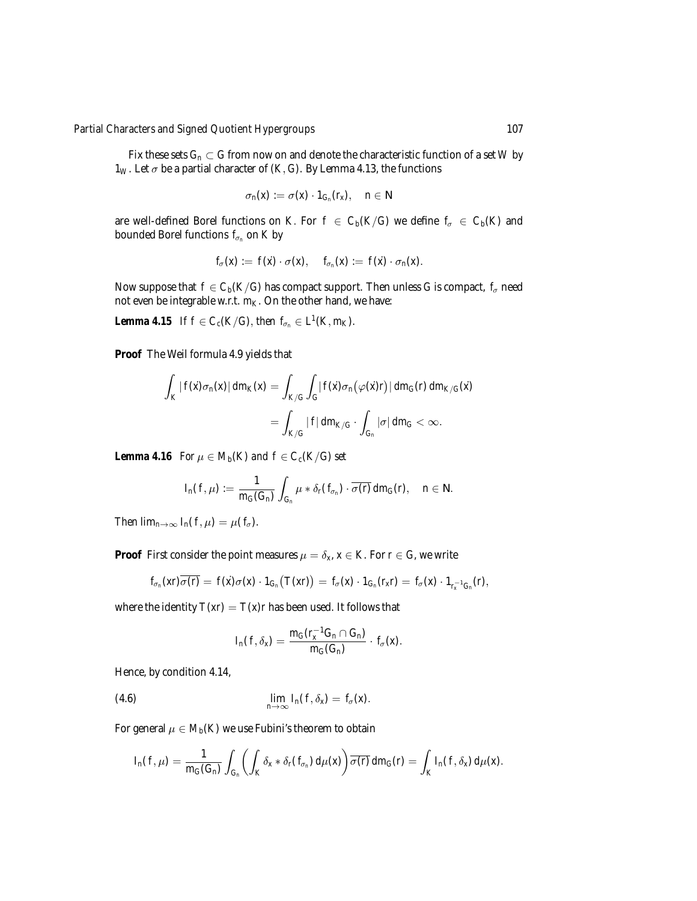### *Partial Characters and Signed Quotient Hypergroups* 107

Fix these sets  $G_n \subset G$  from now on and denote the characteristic function of a set *W* by  $1_W$ . Let  $\sigma$  be a partial character of (*K*, *G*). By Lemma 4.13, the functions

$$
\sigma_n(x) := \sigma(x) \cdot 1_{G_n}(r_x), \quad n \in \mathbb{N}
$$

are well-defined Borel functions on *K*. For  $f \in C_b(K/G)$  we define  $f_\sigma \in C_b(K)$  and bounded Borel functions  $f_{\sigma_n}$  on  $K$  by

$$
f_{\sigma}(x) := f(x) \cdot \sigma(x), \quad f_{\sigma_n}(x) := f(x) \cdot \sigma_n(x).
$$

Now suppose that  $f \in C_b(K/G)$  has compact support. Then unless *G* is compact,  $f_\sigma$  need not even be integrable w.r.t.  $m_K$ . On the other hand, we have:

*Lemma 4.15 If*  $f \in C_c(K/G)$ , *then*  $f_{\sigma_n} \in L^1(K, m_K)$ *.* 

**Proof** The Weil formula 4.9 yields that

$$
\int_K |f(\dot{x})\sigma_n(x)| dm_K(x) = \int_{K/G} \int_G |f(\dot{x})\sigma_n(\varphi(\dot{x})r)| dm_G(r) dm_{K/G}(\dot{x})
$$

$$
= \int_{K/G} |f| dm_{K/G} \cdot \int_{G_n} |\sigma| dm_G < \infty.
$$

*Lemma 4.16 For*  $\mu \in M_h(K)$  *and*  $f \in C_c(K/G)$  *set* 

$$
I_n(f,\mu):=\frac{1}{m_G(G_n)}\int_{G_n}\mu*\delta_r(f_{\sigma_n})\cdot \overline{\sigma(r)} dm_G(r),\quad n\in\mathbb{N}.
$$

*Then*  $\lim_{n\to\infty} I_n(f,\mu) = \mu(f_\sigma)$ .

**Proof** First consider the point measures  $\mu = \delta_x$ ,  $x \in K$ . For  $r \in G$ , we write

$$
f_{\sigma_n}(xr)\overline{\sigma(r)} = f(\dot{x})\sigma(x)\cdot 1_{G_n}(T(xr)) = f_{\sigma}(x)\cdot 1_{G_n}(r_xr) = f_{\sigma}(x)\cdot 1_{r_x^{-1}G_n}(r),
$$

where the identity  $T(xr) = T(x)r$  has been used. It follows that

$$
I_n(f, \delta_x) = \frac{m_G(r_x^{-1}G_n \cap G_n)}{m_G(G_n)} \cdot f_{\sigma}(x).
$$

Hence, by condition 4.14,

(4.6) 
$$
\lim_{n\to\infty} I_n(f,\delta_x) = f_\sigma(x).
$$

For general  $\mu \in M_b(K)$  we use Fubini's theorem to obtain

$$
I_n(f,\mu)=\frac{1}{m_G(G_n)}\int_{G_n}\left(\int_K \delta_X*\delta_r(f_{\sigma_n})\ d\mu(x)\right)\overline{\sigma(r)}\ dm_G(r)=\int_K I_n(f,\delta_X)\ d\mu(x).
$$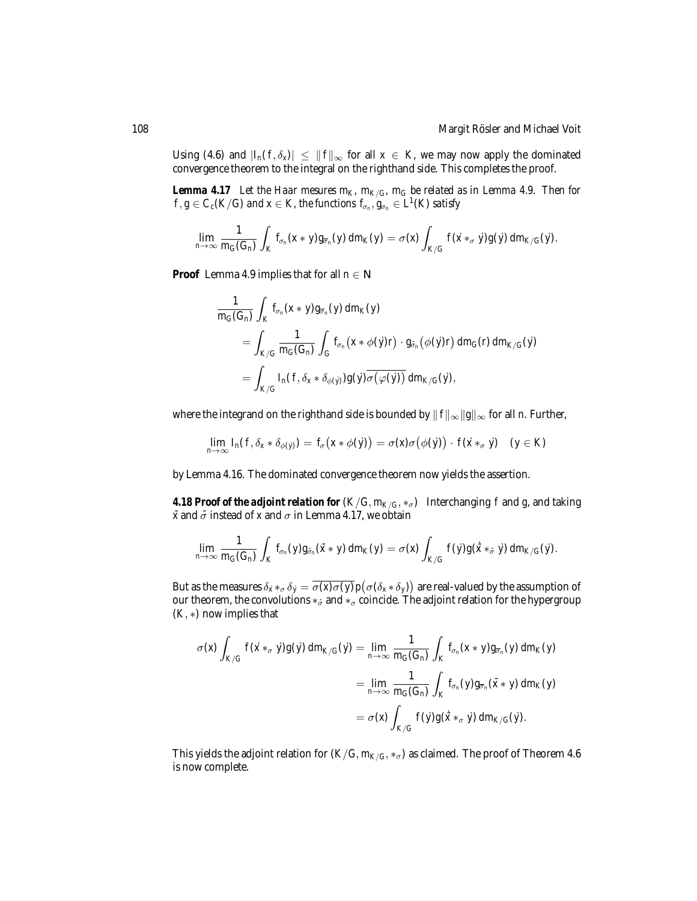Using (4.6) and  $|I_n(f, \delta_x)| \leq ||f||_{\infty}$  for all  $x \in K$ , we may now apply the dominated convergence theorem to the integral on the righthand side. This completes the proof.

*Lemma 4.17* Let the Haar mesures  $m_K$ ,  $m_{K/G}$ ,  $m_G$  be related as in Lemma 4.9. Then for  $f,g\in C_c(K/G)$  *and*  $x\in K$ *, the functions*  $f_{\sigma_n},g_{\sigma_n}\in L^1(K)$  *satisfy* 

$$
\lim_{n\to\infty}\frac{1}{m_G(G_n)}\int_K f_{\sigma_n}(x*y)g_{\overline{\sigma}_n}(y)\ dm_K(y)=\sigma(x)\int_{K/G} f(\dot x *_\sigma \dot y)g(\dot y)\ dm_{K/G}(\dot y).
$$

**Proof** Lemma 4.9 implies that for all  $n \in \mathbb{N}$ 

$$
\frac{1}{m_G(G_n)}\int_K f_{\sigma_n}(x*y)g_{\overline{\sigma}_n}(y) dm_K(y)
$$
\n
$$
= \int_{K/G} \frac{1}{m_G(G_n)}\int_G f_{\sigma_n}(x*\phi(y)r)\cdot g_{\overline{\sigma}_n}(\phi(y)r) dm_G(r) dm_{K/G}(y)
$$
\n
$$
= \int_{K/G} I_n(f, \delta_x*\delta_{\phi(y)})g(y)\overline{\sigma(\varphi(y))} dm_{K/G}(y),
$$

where the integrand on the righthand side is bounded by  $|| f ||_{\infty} ||g||_{\infty}$  for all *n*. Further,

$$
\lim_{n\to\infty}I_n(f,\delta_x*\delta_{\phi(y)})=f_\sigma\big(x*\phi(y)\big)=\sigma(x)\sigma\big(\phi(y)\big)\cdot f(x*_{\sigma}y)\quad (y\in K)
$$

by Lemma 4.16. The dominated convergence theorem now yields the assertion.

**4.18 Proof of the adjoint relation for**  $(K/G, m_{K/G}, *_{\sigma})$  Interchanging f and g, and taking  $\bar{x}$  and  $\bar{\sigma}$  instead of *x* and  $\sigma$  in Lemma 4.17, we obtain

$$
\lim_{n\to\infty}\frac{1}{m_G(G_n)}\int_K f_{\sigma_n}(y)g_{\tilde\sigma_n}(\tilde x*y)\ dm_K(y)=\sigma(x)\int_{K/G} f(\dot y)g(\dot{\tilde x}*_\sigma\dot y)\ dm_{K/G}(\dot y).
$$

But as the measures  $\delta_x*_\sigma\delta_y=\overline{\sigma(x)\sigma(y)}p(\sigma(\delta_x*\delta_y))$  are real-valued by the assumption of our theorem, the convolutions  $*_{\bar{\sigma}}$  and  $*_{\sigma}$  coincide. The adjoint relation for the hypergroup (*K*, ∗) now implies that

$$
\sigma(x) \int_{K/G} f(\dot{x} *_{\sigma} \dot{y}) g(\dot{y}) dm_{K/G}(\dot{y}) = \lim_{n \to \infty} \frac{1}{m_G(G_n)} \int_K f_{\sigma_n}(x * y) g_{\overline{\sigma}_n}(y) dm_K(y)
$$
  

$$
= \lim_{n \to \infty} \frac{1}{m_G(G_n)} \int_K f_{\sigma_n}(y) g_{\overline{\sigma}_n}(\bar{x} * y) dm_K(y)
$$
  

$$
= \sigma(x) \int_{K/G} f(\dot{y}) g(\dot{x} *_{\sigma} \dot{y}) dm_{K/G}(\dot{y}).
$$

This yields the adjoint relation for  $(K/G, m_{K/G}, *_{\sigma})$  as claimed. The proof of Theorem 4.6 is now complete.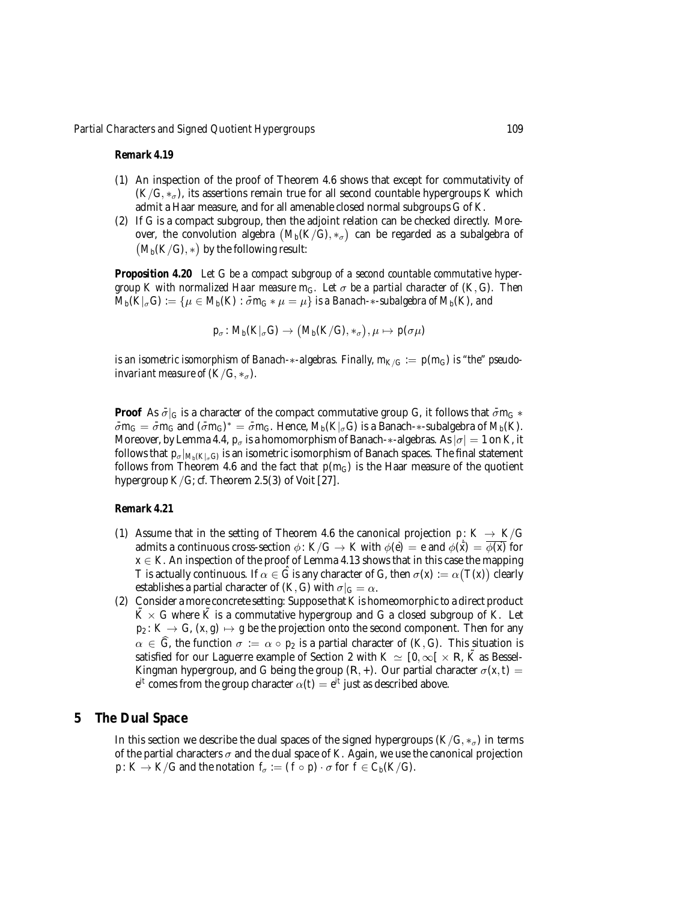#### *Remark 4.19*

- (1) An inspection of the proof of Theorem 4.6 shows that except for commutativity of  $(K/G, *_{\sigma})$ , its assertions remain true for all second countable hypergroups *K* which admit a Haar measure, and for all amenable closed normal subgroups *G* of *K*.
- (2) If *G* is a compact subgroup, then the adjoint relation can be checked directly. Moreover, the convolution algebra  $(M_b(K/G), *_\sigma)$  can be regarded as a subalgebra of  $(M_b(K/G), *)$  by the following result:

*Proposition 4.20 Let G be a compact subgroup of a second countable commutative hypergroup K with normalized Haar measure*  $m_G$ *. Let*  $\sigma$  *be a partial character of*  $(K, G)$ *. Then*  $M_b(K|_{\sigma} G) := \{ \mu \in M_b(K) : \bar{\sigma} m_G * \mu = \mu \}$  *is a Banach-* $*$ -*subalgebra of*  $M_b(K)$ *, and* 

$$
p_{\sigma} \colon M_b(K|_{\sigma}G) \to (M_b(K/G), *_{\sigma}), \mu \mapsto p(\sigma \mu)
$$

*is an isometric isomorphism of Banach-*∗*-algebras. Finally,*  $m_{K/G} := p(m_G)$  *is "the" pseudoinvariant measure of*  $(K/G, *_{\sigma})$ *.* 

**Proof** As  $\bar{\sigma}|_G$  is a character of the compact commutative group *G*, it follows that  $\bar{\sigma}m_G$  \*  $\bar{\sigma}m_G = \bar{\sigma}m_G$  and  $(\bar{\sigma}m_G)^* = \bar{\sigma}m_G$ . Hence,  $M_b(K|_{\sigma}G)$  is a Banach- $*$ -subalgebra of  $M_b(K)$ . Moreover, by Lemma 4.4,  $p_{\sigma}$  is a homomorphism of Banach-∗-algebras. As  $|\sigma| = 1$  on *K*, it follows that  $p_{\sigma}|_{M_b(K|_{\sigma}G)}$  is an isometric isomorphism of Banach spaces. The final statement follows from Theorem 4.6 and the fact that  $p(m_G)$  is the Haar measure of the quotient hypergroup  $K/G$ ; *cf.* Theorem 2.5(3) of Voit [27].

#### *Remark 4.21*

- (1) Assume that in the setting of Theorem 4.6 the canonical projection  $p: K \to K/G$ admits a continuous cross-section  $\phi\colon K/G\to K$  with  $\phi(\dot{e})\,=\,e$  and  $\phi(\dot{\bar{x}})\,=\,\overline{\phi(\dot{x})}$  for  $x \in K$ . An inspection of the proof of Lemma 4.13 shows that in this case the mapping *T* is actually continuous. If  $\alpha \in \hat{G}$  is any character of *G*, then  $\sigma(x) := \alpha(T(x))$  clearly establishes a partial character of  $(K, G)$  with  $\sigma|_G = \alpha$ .
- (2) Consider a more concrete setting: Suppose that *K* is homeomorphic to a direct product  $\tilde{K} \times G$  where  $\tilde{K}$  is a commutative hypergroup and *G* a closed subgroup of *K*. Let  $p_2: K \to G$ ,  $(x, g) \mapsto g$  be the projection onto the second component. Then for any  $\alpha \in \hat{G}$ , the function  $\sigma := \alpha \circ p_2$  is a partial character of  $(K, G)$ . This situation is satisfied for our Laguerre example of Section 2 with  $K \simeq [0, \infty[ \times \mathbb{R}, \tilde{K} ]$  as Bessel-Kingman hypergroup, and *G* being the group  $(R, +)$ . Our partial character  $\sigma(x, t)$  $e^{it}$  comes from the group character  $\alpha(t) = e^{it}$  just as described above.

#### **5 The Dual Space**

In this section we describe the dual spaces of the signed hypergroups  $(K/G, *_{\sigma})$  in terms of the partial characters  $\sigma$  and the dual space of *K*. Again, we use the canonical projection *p* :  $K \to K/G$  and the notation  $f_{\sigma} := (f \circ p) \cdot \sigma$  for  $f \in C_b(K/G)$ .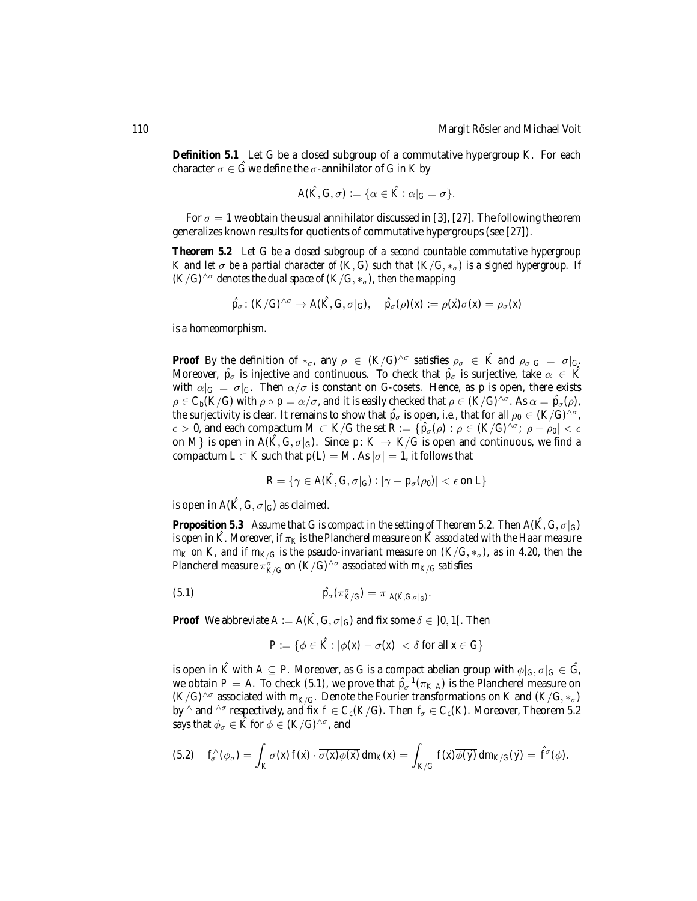*Definition 5.1* Let *G* be a closed subgroup of a commutative hypergroup *K*. For each character  $\sigma \in \hat{G}$  we define the  $\sigma$ -annihilator of *G* in *K* by

$$
A(\hat{K}, G, \sigma) := \{ \alpha \in \hat{K} : \alpha|_G = \sigma \}.
$$

For  $\sigma = 1$  we obtain the usual annihilator discussed in [3], [27]. The following theorem generalizes known results for quotients of commutative hypergroups (see [27]).

*Theorem 5.2 Let G be a closed subgroup of a second countable commutative hypergroup K* and let  $\sigma$  be a partial character of  $(K, G)$  such that  $(K/G, *_{\sigma})$  is a signed hypergroup. If  $(K/G)^{\wedge \sigma}$  *denotes the dual space of*  $(K/G, *_{\sigma})$ *, then the mapping* 

$$
\hat{p}_{\sigma} \colon (K/G)^{\wedge \sigma} \to A(\hat{K}, G, \sigma|_G), \quad \hat{p}_{\sigma}(\rho)(x) := \rho(\hat{x})\sigma(x) = \rho_{\sigma}(x)
$$

*is a homeomorphism.*

**Proof** By the definition of  $*_\sigma$ , any  $\rho \in (K/G)^{\wedge \sigma}$  satisfies  $\rho_\sigma \in \hat{K}$  and  $\rho_\sigma|_G = \sigma|_G$ . Moreover,  $\hat{p}_{\sigma}$  is injective and continuous. To check that  $\hat{p}_{\sigma}$  is surjective, take  $\alpha \in \hat{K}$ with  $\alpha|_G = \sigma|_G$ . Then  $\alpha/\sigma$  is constant on *G*-cosets. Hence, as *p* is open, there exists  $\rho\in C_b(K/G)$  with  $\rho\circ p=\alpha/\sigma,$  and it is easily checked that  $\rho\in (K/G)^{\wedge\sigma}.$  As  $\alpha=\hat{p}_\sigma(\rho),$ the surjectivity is clear. It remains to show that  $\hat{p}_{\sigma}$  is open, *i.e.*, that for all  $\rho_0 \in (K/G)^{\wedge \sigma}$ ,  $\epsilon > 0$ , and each compactum  $M \subset K/G$  the set  $R := \{ \hat{p}_{\sigma}(\rho) : \rho \in (K/G)^{\wedge \sigma} : |\rho - \rho_0| < \epsilon \}$ on *M*} is open in  $A(\hat{K}, G, \sigma|_G)$ . Since  $p: K \to K/G$  is open and continuous, we find a compactum  $L \subset K$  such that  $p(L) = M$ . As  $|\sigma| = 1$ , it follows that

$$
R = \{ \gamma \in A(\hat{K}, G, \sigma|_G) : |\gamma - p_\sigma(\rho_0)| < \epsilon \text{ on } L \}
$$

is open in  $A(\hat{K}, G, \sigma|_G)$  as claimed.

*Proposition 5.3 Assume that G is compact in the setting of Theorem 5.2. Then A(* $(\hat{K}, G, \sigma|_G)$ *) is open in*  $\hat{K}$ *. Moreover, if*  $\pi_K$  *is the Plancherel measure on*  $\hat{K}$  *associated with the Haar measure m<sub>K</sub>* on *K*, and if  $m_{K/G}$  *is the pseudo-invariant measure on*  $(K/G, *_{\sigma})$ *, as in 4.20, then the Plancherel measure*  $\pi^{\sigma}_{K/G}$  *on* ( $K/G$ )^ $^{\sigma}$  *associated with*  $m_{K/G}$  *satisfies* 

(5.1) 
$$
\hat{p}_{\sigma}(\pi^{\sigma}_{K/G}) = \pi|_{A(\hat{K},G,\sigma|_{G})}.
$$

**Proof** We abbreviate  $A := A(\hat{K}, G, \sigma|_G)$  and fix some  $\delta \in [0, 1]$ . Then

$$
P := \{ \phi \in \hat{K} : |\phi(x) - \sigma(x)| < \delta \text{ for all } x \in G \}
$$

is open in  $\hat{K}$  with  $A \subseteq P$ . Moreover, as *G* is a compact abelian group with  $\phi|_G, \sigma|_G \in \hat{G}$ , we obtain *P* = *A*. To check (5.1), we prove that  $\hat{p}^{-1}(\pi_K|_A)$  is the Plancherel measure on  $(K/G)^{\wedge \sigma}$  associated with  $m_{K/G}$ . Denote the Fourier transformations on *K* and  $(K/G, *_{\sigma})$ by  $\wedge$  and  $\wedge$ <sup>*σ*</sup> respectively, and fix  $f \in C_c(K/G)$ . Then  $f_\sigma \in C_c(K)$ . Moreover, Theorem 5.2 says that  $\phi_{\sigma} \in \hat{K}$  for  $\phi \in (K/G)^{\wedge \sigma}$ , and

$$
(5.2) \t f_{\sigma}^{\wedge}(\phi_{\sigma}) = \int_{K} \sigma(x) f(x) \cdot \overline{\sigma(x) \phi(x)} dm_{K}(x) = \int_{K/G} f(x) \overline{\phi(y)} dm_{K/G}(y) = \hat{f}^{\sigma}(\phi).
$$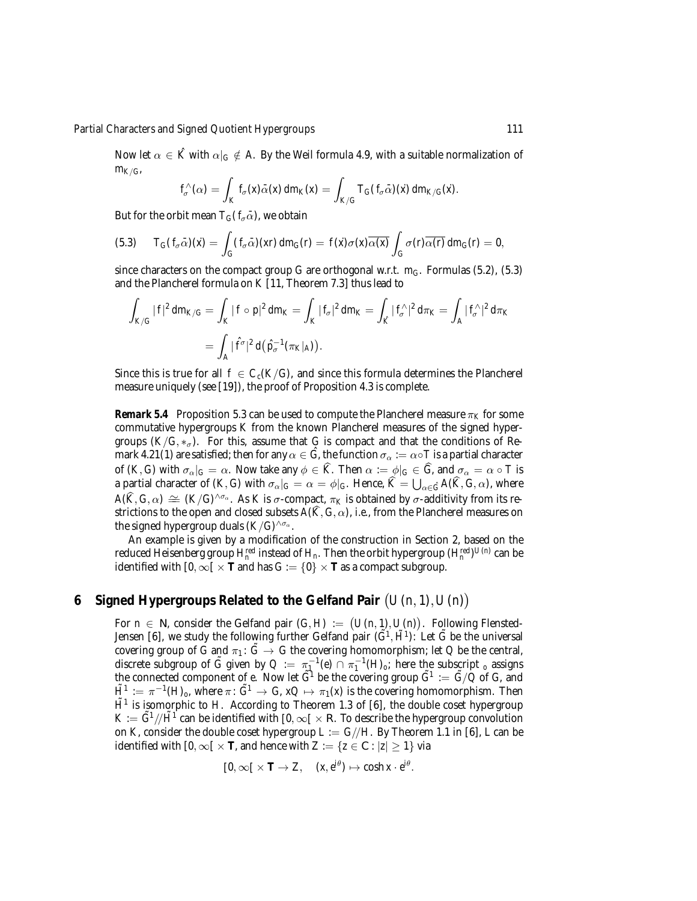Now let  $\alpha \in \hat{K}$  with  $\alpha|_G \notin A$ . By the Weil formula 4.9, with a suitable normalization of *mK*/*G*,

$$
f_{\sigma}^{\wedge}(\alpha) = \int_{K} f_{\sigma}(x) \bar{\alpha}(x) dm_{K}(x) = \int_{K/G} T_{G}(f_{\sigma} \bar{\alpha})(x) dm_{K/G}(x).
$$

But for the orbit mean  $T_G(f_\sigma\bar{\alpha})$ , we obtain

(5.3) 
$$
T_G(f_{\sigma}\bar{\alpha})(\dot{x}) = \int_G (f_{\sigma}\bar{\alpha})(\dot{x}) \, dm_G(r) = f(\dot{x})\sigma(\dot{x})\overline{\alpha(\dot{x})}\int_G \sigma(r)\overline{\alpha(r)} \, dm_G(r) = 0,
$$

since characters on the compact group *G* are orthogonal w.r.t.  $m_G$ . Formulas (5.2), (5.3) and the Plancherel formula on *K* [11, Theorem 7.3] thus lead to

$$
\int_{K/G} |f|^2 dm_{K/G} = \int_K |f \circ p|^2 dm_K = \int_K |f_{\sigma}|^2 dm_K = \int_{\hat{K}} |f_{\sigma}|^2 d\pi_K = \int_A |f_{\sigma}|^2 d\pi_K
$$
  
= 
$$
\int_A |\hat{f}^{\sigma}|^2 d(\hat{p}_{\sigma}^{-1}(\pi_K|_A)).
$$

Since this is true for all  $f \in C_c(K/G)$ , and since this formula determines the Plancherel measure uniquely (see [19]), the proof of Proposition 4.3 is complete.

*Remark 5.4* Proposition 5.3 can be used to compute the Plancherel measure  $\pi_K$  for some commutative hypergroups *K* from the known Plancherel measures of the signed hypergroups  $(K/G, *_{\sigma})$ . For this, assume that *G* is compact and that the conditions of Remark 4.21(1) are satisfied; then for any  $\alpha \in \tilde{G}$ , the function  $\sigma_{\alpha} := \alpha \circ T$  is a partial character of  $(K, G)$  with  $\sigma_{\alpha}|_G = \alpha$ . Now take any  $\phi \in \widehat{K}$ . Then  $\alpha := \phi|_G \in \widehat{G}$ , and  $\sigma_{\alpha} = \alpha \circ T$  is a partial character of  $(K, G)$  with  $\sigma_{\alpha}|_G = \alpha = \phi|_G$ . Hence,  $\widehat{K} = \bigcup_{\alpha \in \widehat{G}} A(\widehat{K}, G, \alpha)$ , where  $A(\widehat{K},G,\alpha) \cong (K/G)^{\wedge \sigma_{\alpha}}$ . As *K* is  $\sigma$ -compact,  $\pi_K$  is obtained by  $\sigma$ -additivity from its restrictions to the open and closed subsets  $A(\hat{K}, G, \alpha)$ , *i.e.*, from the Plancherel measures on the signed hypergroup duals  $(K/G)^{\wedge \sigma_{\alpha}}$ .

An example is given by a modification of the construction in Section 2, based on the reduced Heisenberg group  $H_n^{red}$  instead of  $H_n$ . Then the orbit hypergroup  $(H_n^{red})^{U(n)}$  can be identified with  $[0, \infty) \times T$  and has  $G := \{0\} \times T$  as a compact subgroup.

## **6** Signed Hypergroups Related to the Gelfand Pair  $(U(n, 1), U(n))$

For  $n \in \mathbb{N}$ , consider the Gelfand pair  $(G, H) := (U(n, 1), U(n))$ . Following Flensted-Jensen [6], we study the following further Gelfand pair  $(\tilde{G}^1, \tilde{H}^1)$ : Let  $\tilde{G}$  be the universal covering group of *G* and  $\pi_1$ :  $\tilde{G} \rightarrow G$  the covering homomorphism; let *Q* be the central, discrete subgroup of  $\tilde{G}$  given by  $Q := \pi_1^{-1}(e) \cap \pi_1^{-1}(H_o;$  here the subscript <sub>o</sub> assigns the connected component of *e*. Now let  $\tilde{G}^1$  be the covering group  $\tilde{G}^1 := \tilde{G}/\tilde{Q}$  of *G*, and  $\tilde{H}^1 \,:=\, \pi^{-1}(H)_{o},$  where  $\pi\colon\tilde{G}^1 \,\to\, G$ ,  $xQ \mapsto \,\pi_1(x)$  is the covering homomorphism. Then  $\tilde{H}^1$  is isomorphic to *H*. According to Theorem 1.3 of [6], the double coset hypergroup  $K := \tilde{G}^1/\tilde{H}^1$  can be identified with  $[0, \infty[ \times \mathbb{R}$ . To describe the hypergroup convolution on *K*, consider the double coset hypergroup  $L := G//H$ . By Theorem 1.1 in [6], *L* can be identified with  $[0, \infty) \times$  **T**, and hence with  $Z := \{z \in \mathbb{C} : |z| \geq 1\}$  via

$$
[0,\infty[\times \mathbf{T} \to Z, \quad (x,e^{i\theta}) \mapsto \cosh x \cdot e^{i\theta}.
$$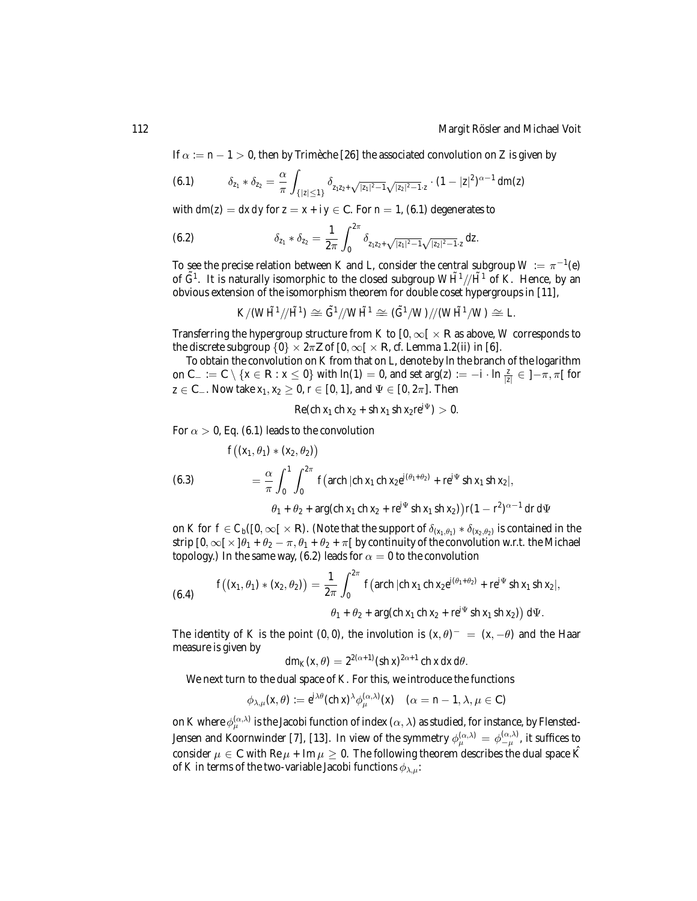If  $\alpha := n - 1 > 0$ , then by Trimeche [26] the associated convolution on Z is given by

$$
(6.1) \qquad \delta_{z_1} * \delta_{z_2} = \frac{\alpha}{\pi} \int_{\{|z| \leq 1\}} \delta_{z_1 z_2 + \sqrt{|z_1|^2 - 1}} \sqrt{|z_2|^2 - 1} \cdot z \cdot (1 - |z|^2)^{\alpha - 1} dm(z)
$$

with  $dm(z) = dx dy$  for  $z = x + iy \in C$ . For  $n = 1$ , (6.1) degenerates to

(6.2) 
$$
\delta_{z_1} * \delta_{z_2} = \frac{1}{2\pi} \int_0^{2\pi} \delta_{z_1 z_2 + \sqrt{|z_1|^2 - 1} \sqrt{|z_2|^2 - 1} \cdot z} dz.
$$

To see the precise relation between *K* and *L*, consider the central subgroup  $W := \pi^{-1}(e)$ of  $\tilde{G}^1$ . It is naturally isomorphic to the closed subgroup  $W\tilde{H}^1/\tilde{H}^1$  of *K*. Hence, by an obvious extension of the isomorphism theorem for double coset hypergroups in [11],

$$
K/(W\tilde{H}^1/\!/ \tilde{H}^1) \cong \tilde{G}^1/\!/ W\tilde{H}^1 \cong (\tilde{G}^1/W)/\!/ (W\tilde{H}^1/W) \cong L.
$$

Transferring the hypergroup structure from *K* to  $[0, \infty[ \times \mathbb{R} ]$  as above, *W* corresponds to the discrete subgroup  $\{0\} \times 2\pi\mathbb{Z}$  of  $[0,\infty[ \times \mathbb{R}$ , *cf.* Lemma 1.2(ii) in [6].

To obtain the convolution on *K* from that on *L*, denote by ln the branch of the logarithm on C<sub>−</sub> := C \{*x* ∈ R : *x* ≤ 0} with ln(1) = 0, and set arg(*z*) := −*i* · ln  $\frac{z}{|z|}$  ∈ ]− $\pi$ ,  $\pi$ [ for *z* ∈ C<sub>−</sub>. Now take *x*<sub>1</sub>, *x*<sub>2</sub> ≥ 0, *r* ∈ [0, 1], and  $\Psi$  ∈ [0, 2 $\pi$ ]. Then

$$
Re(ch x_1 ch x_2 + sh x_1 sh x_2 re^{i\Psi}) > 0.
$$

For  $\alpha > 0$ , Eq. (6.1) leads to the convolution

(6.3)  

$$
f((x_1, \theta_1) * (x_2, \theta_2))
$$

$$
= \frac{\alpha}{\pi} \int_0^1 \int_0^{2\pi} f(\operatorname{arch} |\operatorname{ch} x_1 \operatorname{ch} x_2 e^{i(\theta_1 + \theta_2)} + r e^{i\Psi} \operatorname{sh} x_1 \operatorname{sh} x_2|,
$$

$$
\theta_1 + \theta_2 + \operatorname{arg}(\operatorname{ch} x_1 \operatorname{ch} x_2 + r e^{i\Psi} \operatorname{sh} x_1 \operatorname{sh} x_2) r (1 - r^2)^{\alpha - 1} dr d\Psi
$$

on *K* for  $f \in C_b([0,\infty[\times\mathbb{R})$ . (Note that the support of  $\delta_{(x_1,\theta_1)} * \delta_{(x_2,\theta_2)}$  is contained in the strip  $[0, \infty[\times]\theta_1 + \theta_2 - \pi, \theta_1 + \theta_2 + \pi]$  by continuity of the convolution w.r.t. the Michael topology.) In the same way, (6.2) leads for  $\alpha = 0$  to the convolution

(6.4) 
$$
f((x_1, \theta_1) * (x_2, \theta_2)) = \frac{1}{2\pi} \int_0^{2\pi} f(\operatorname{arch} |\operatorname{ch} x_1 \operatorname{ch} x_2 e^{i(\theta_1 + \theta_2)} + r e^{i\Psi} \operatorname{sh} x_1 \operatorname{sh} x_2|,
$$

$$
\theta_1 + \theta_2 + \operatorname{arg}(\operatorname{ch} x_1 \operatorname{ch} x_2 + r e^{i\Psi} \operatorname{sh} x_1 \operatorname{sh} x_2)) d\Psi.
$$

The identity of *K* is the point (0, 0), the involution is  $(x, \theta)^{-} = (x, -\theta)$  and the Haar measure is given by

$$
dm_K(x,\theta)=2^{2(\alpha+1)}(\sin x)^{2\alpha+1}\operatorname{ch} x\,dx\,d\theta.
$$

We next turn to the dual space of *K*. For this, we introduce the functions

$$
\phi_{\lambda,\mu}(x,\theta) := e^{i\lambda\theta} (\text{ch } x)^\lambda \phi_{\mu}^{(\alpha,\lambda)}(x) \quad (\alpha = n-1, \lambda, \mu \in \mathbb{C})
$$

on  $K$  where  $\phi_\mu^{(\alpha,\lambda)}$  is the Jacobi function of index  $(\alpha,\lambda)$  as studied, for instance, by Flensted-Jensen and Koornwinder [7], [13]. In view of the symmetry  $\phi_\mu^{(\alpha,\lambda)}\,=\,\phi_{-\mu}^{(\alpha,\lambda)}$ , it suffices to consider  $\mu \in \mathbb{C}$  with Re  $\mu$  + Im  $\mu \geq 0$ . The following theorem describes the dual space  $\hat{K}$ of *K* in terms of the two-variable Jacobi functions  $\phi_{\lambda,\mu}$ :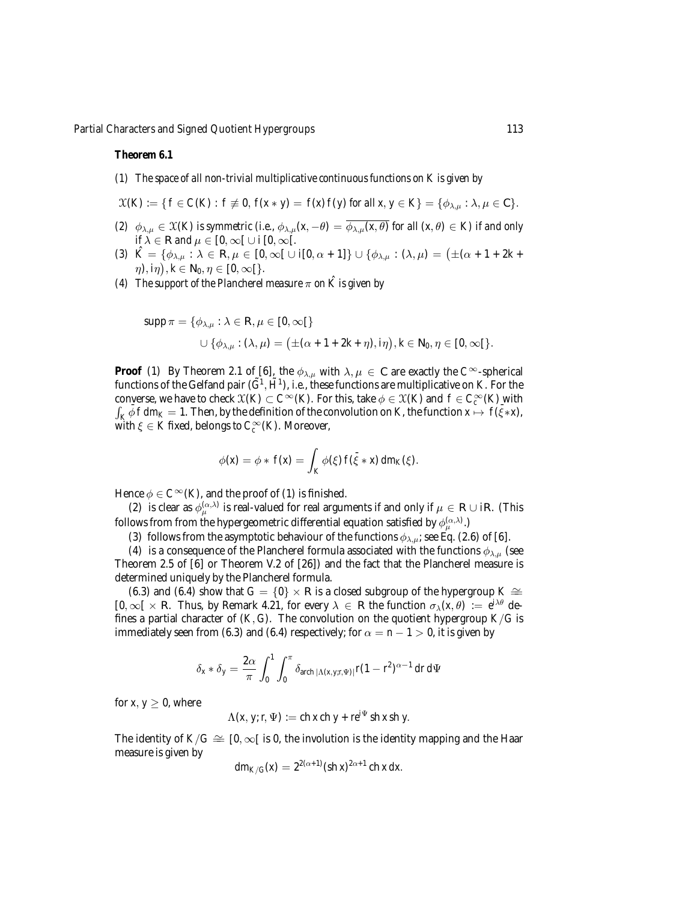#### *Theorem 6.1*

- *(1) The space of all non-trivial multiplicative continuous functions on K is given by*
- $X(K) := \{ f \in C(K) : f \neq 0, f(x * y) = f(x) f(y) \text{ for all } x, y \in K \} = \{ \phi_{\lambda,\mu} : \lambda, \mu \in \mathbb{C} \}.$
- *(2)*  $\phi_{\lambda,\mu} \in \mathfrak{X}(K)$  *is symmetric (i.e.,*  $\phi_{\lambda,\mu}(x,-\theta) = \overline{\phi_{\lambda,\mu}(x,\theta)}$  *for all*  $(x,\theta) \in K$ *) if and only*  $if \lambda \in \mathbb{R}$  *and*  $\mu \in [0, \infty[ \cup i [0, \infty[$ *.*
- *(3)*  $\hat{K} = \{\phi_{\lambda,\mu} : \lambda \in \mathbb{R}, \mu \in [0,\infty[ \cup i[0,\alpha+1]\} \cup \{\phi_{\lambda,\mu} : (\lambda,\mu) = (\pm(\alpha+1+2k+1))\}$  $(\eta),\overline{i\eta}),\overline{k}\in\mathbb{N}_0,\eta\in[0,\infty[\}.$
- *(4) The support of the Plancherel measure*  $\pi$  *on*  $\hat{K}$  *is given by*

$$
\begin{aligned} \text{supp}\, \pi = \{\phi_{\lambda,\mu}: \lambda \in \mathbb{R}, \mu \in [0,\infty[\} \\ \cup \, \{\phi_{\lambda,\mu}: (\lambda,\mu) = \bigl(\pm(\alpha+1+2k+\eta), i\eta\bigr), k \in \mathbb{N}_0, \eta \in [0,\infty[\}.\end{aligned}
$$

**Proof** (1) By Theorem 2.1 of [6], the  $\phi_{\lambda,\mu}$  with  $\lambda, \mu \in \mathbb{C}$  are exactly the  $C^{\infty}$ -spherical functions of the Gelfand pair  $(\tilde{G}^1, \tilde{H}^1)$ , *i.e.*, these functions are multiplicative on *K*. For the converse, we have to check  $\mathfrak{X}(K) \subset C^{\infty}(K)$ . For this, take  $\phi \in \mathfrak{X}(K)$  and  $f \in C^{\infty}_c(K)$  with  $\int_K \bar{\phi} f dm_K = 1$ . Then, by the definition of the convolution on *K*, the function  $x \mapsto f(\bar{\xi} * x)$ , with  $\xi \in K$  fixed, belongs to  $C_c^{\infty}(K)$ . Moreover,

$$
\phi(\mathbf{x}) = \phi * f(\mathbf{x}) = \int_K \phi(\xi) f(\bar{\xi} * \mathbf{x}) dm_K(\xi).
$$

Hence  $\phi \in C^{\infty}(K)$ , and the proof of (1) is finished.

(2) is clear as  $\phi_{\mu}^{(\alpha,\lambda)}$  is real-valued for real arguments if and only if  $\mu \in \mathbb{R} \cup i\mathbb{R}$ . (This follows from from the hypergeometric differential equation satisfied by  $\phi_\mu^{(\alpha,\lambda)}$  .)

(3) follows from the asymptotic behaviour of the functions  $\phi_{\lambda,\mu}$ ; see Eq. (2.6) of [6].

(4) is a consequence of the Plancherel formula associated with the functions  $\phi_{\lambda,\mu}$  (see Theorem 2.5 of [6] or Theorem V.2 of [26]) and the fact that the Plancherel measure is determined uniquely by the Plancherel formula.

(6.3) and (6.4) show that  $G = \{0\} \times \mathbb{R}$  is a closed subgroup of the hypergroup  $K \cong$  $[0, \infty[ \times \mathbb{R}$ . Thus, by Remark 4.21, for every  $\lambda \in \mathbb{R}$  the function  $\sigma_{\lambda}(x, \theta) := e^{i\lambda\theta}$  defines a partial character of  $(K, G)$ . The convolution on the quotient hypergroup  $K/G$  is immediately seen from (6.3) and (6.4) respectively; for  $\alpha = n - 1 > 0$ , it is given by

$$
\delta_x * \delta_y = \frac{2\alpha}{\pi} \int_0^1 \int_0^{\pi} \delta_{\text{arch }|\Lambda(x,y;\pi \Psi)|} r(1-r^2)^{\alpha-1} \, dr \, d\Psi
$$

for *x*,  $y > 0$ , where

$$
\Lambda(x, y; r, \Psi) := \text{ch } x \text{ch } y + r e^{i\Psi} \text{ sh } x \text{sh } y.
$$

The identity of  $K/G \cong [0, \infty)$  is 0, the involution is the identity mapping and the Haar measure is given by

$$
dm_{K/G}(x) = 2^{2(\alpha+1)} (\operatorname{sh} x)^{2\alpha+1} \operatorname{ch} x \, dx.
$$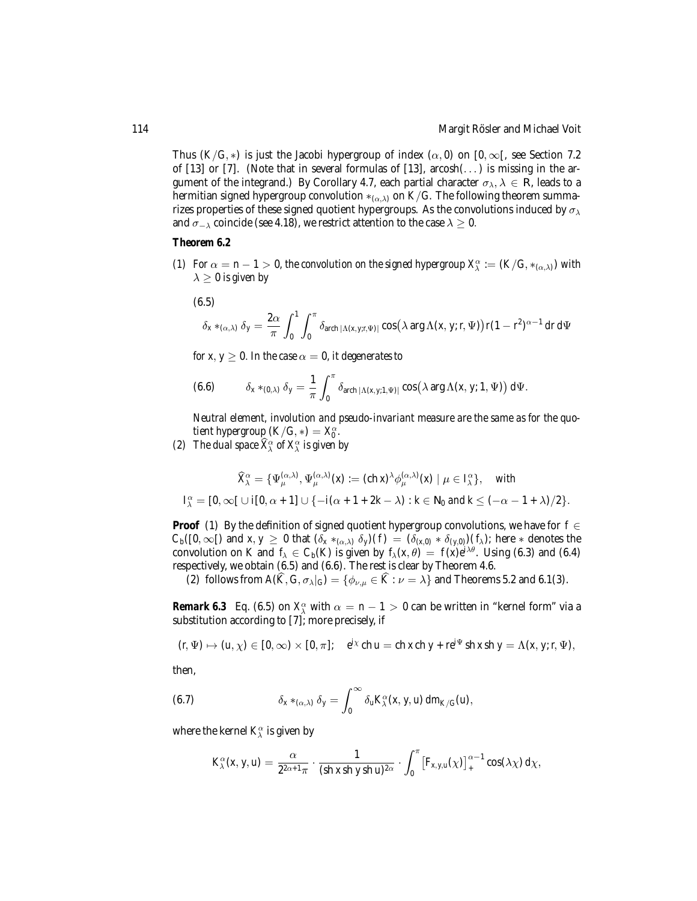Thus  $(K/G, *)$  is just the Jacobi hypergroup of index  $(\alpha, 0)$  on  $[0, \infty)$ , see Section 7.2 of  $[13]$  or  $[7]$ . (Note that in several formulas of  $[13]$ , arcosh $(\ldots)$  is missing in the argument of the integrand.) By Corollary 4.7, each partial character  $\sigma_{\lambda}, \lambda \in \mathbb{R}$ , leads to a hermitian signed hypergroup convolution  $*_{{(\alpha,\lambda)}}$  on  $K/G$ . The following theorem summarizes properties of these signed quotient hypergroups. As the convolutions induced by  $\sigma_{\lambda}$ and  $\sigma_{-\lambda}$  coincide (see 4.18), we restrict attention to the case  $\lambda \geq 0$ .

#### *Theorem 6.2*

- *(1)* For  $\alpha = n 1 > 0$ , the convolution on the signed hypergroup  $X^{\alpha}_{\lambda} := (K/G, *_{(\alpha,\lambda)})$  with  $\lambda \geq 0$  *is given by* 
	- (6.5)

$$
\delta_x *_{(\alpha,\lambda)} \delta_y = \frac{2\alpha}{\pi} \int_0^1 \int_0^{\pi} \delta_{\text{arch }|\Lambda(x,y;t,\Psi)|} \cos(\lambda \arg \Lambda(x,y;t,\Psi)) r(1-r^2)^{\alpha-1} dr d\Psi
$$

*for x*,  $y \ge 0$ *. In the case*  $\alpha = 0$ *, it degenerates to* 

(6.6) 
$$
\delta_x *_{(0,\lambda)} \delta_y = \frac{1}{\pi} \int_0^{\pi} \delta_{\text{arch }|\Lambda(x,y;1,\Psi)|} \cos(\lambda \arg \Lambda(x,y;1,\Psi)) d\Psi.
$$

*Neutral element, involution and pseudo-invariant measure are the same as for the quotient hypergroup*  $(K/G, *) = X_0^{\alpha}$ *.* 

*(2)* The dual space  $\widehat{X}^{\alpha}_{\lambda}$  of  $X^{\alpha}_{\lambda}$  is given by

$$
\widehat{X}_{\lambda}^{\alpha} = \{ \Psi_{\mu}^{(\alpha,\lambda)}, \Psi_{\mu}^{(\alpha,\lambda)}(x) := (\text{ch } x)^{\lambda} \phi_{\mu}^{(\alpha,\lambda)}(x) \mid \mu \in I_{\lambda}^{\alpha} \}, \quad \text{with}
$$
  

$$
I_{\lambda}^{\alpha} = [0, \infty[ \cup i[0, \alpha + 1] \cup \{-i(\alpha + 1 + 2k - \lambda) : k \in \mathbb{N}_0 \text{ and } k \leq (-\alpha - 1 + \lambda)/2 \}.
$$

**Proof** (1) By the definition of signed quotient hypergroup convolutions, we have for *f* ∈  $C_b([0,\infty[)$  and  $x, y \ge 0$  that  $(\delta_x *_{(\alpha,\lambda)} \delta_y)(f) = (\delta_{(x,0)} * \delta_{(y,0)})(f_\lambda)$ ; here  $*$  denotes the convolution on *K* and  $f_{\lambda} \in C_b(K)$  is given by  $f_{\lambda}(x, \theta) = f(x)e^{i\lambda\theta}$ . Using (6.3) and (6.4) respectively, we obtain (6.5) and (6.6). The rest is clear by Theorem 4.6.

(2) follows from  $A(\widehat{K}, G, \sigma_{\lambda}|_G) = \{\phi_{\nu,\mu} \in \widehat{K} : \nu = \lambda\}$  and Theorems 5.2 and 6.1(3).

*Remark 6.3* Eq. (6.5) on  $X_{\lambda}^{\alpha}$  with  $\alpha = n - 1 > 0$  can be written in "kernel form" via a substitution according to [7]; more precisely, if

$$
(r, \Psi) \mapsto (u, \chi) \in [0, \infty) \times [0, \pi]; \quad e^{i\chi} \operatorname{ch} u = \operatorname{ch} x \operatorname{ch} y + re^{i\Psi} \operatorname{sh} x \operatorname{sh} y = \Lambda(x, y; r, \Psi),
$$

then,

(6.7) 
$$
\delta_x *_{(\alpha,\lambda)} \delta_y = \int_0^\infty \delta_u K_\lambda^\alpha(x,y,u) \, dm_{K/G}(u),
$$

where the kernel  $K_\lambda^\alpha$  is given by

$$
K_{\lambda}^{\alpha}(x, y, u) = \frac{\alpha}{2^{2\alpha+1}\pi} \cdot \frac{1}{(\sh x \sh y \sh u)^{2\alpha}} \cdot \int_{0}^{\pi} \left[ F_{x,y,u}(\chi) \right]_{+}^{\alpha-1} \cos(\lambda \chi) d\chi,
$$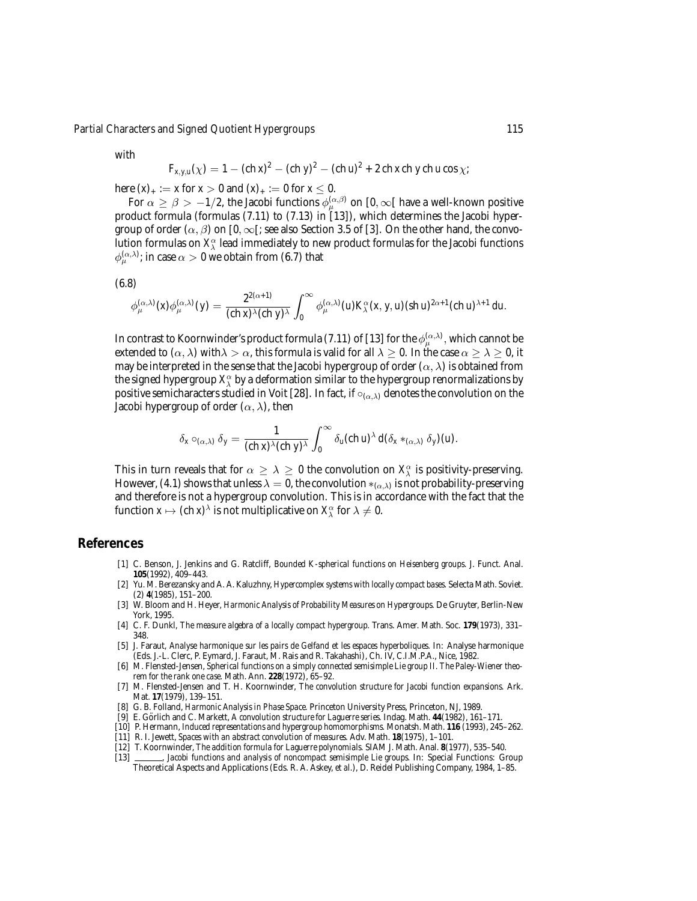with

$$
F_{x,y,u}(\chi) = 1 - (c h x)^2 - (c h y)^2 - (c h u)^2 + 2 ch x ch y ch u cos \chi;
$$

here  $(x)_{+} := x$  for  $x > 0$  and  $(x)_{+} := 0$  for  $x \le 0$ .

For  $\alpha\geq\beta>-1/2$ , the Jacobi functions  $\phi_\mu^{(\alpha,\beta)}$  on  $[0,\infty[$  have a well-known positive product formula (formulas (7.11) to (7.13) in [13]), which determines the Jacobi hypergroup of order  $(\alpha, \beta)$  on [0,  $\infty$ [; see also Section 3.5 of [3]. On the other hand, the convolution formulas on  $X_{\lambda}^{\alpha}$  lead immediately to new product formulas for the Jacobi functions  $\phi_\mu^{(\alpha,\lambda)}$ ; in case  $\alpha>0$  we obtain from (6.7) that

(6.8)

$$
\phi_{\mu}^{(\alpha,\lambda)}(x)\phi_{\mu}^{(\alpha,\lambda)}(y)=\frac{2^{2(\alpha+1)}}{(ch\,x)^{\lambda}(ch\,y)^{\lambda}}\int_0^{\infty}\phi_{\mu}^{(\alpha,\lambda)}(u)K_{\lambda}^{\alpha}(x,y,u)(sh\,u)^{2\alpha+1}(ch\,u)^{\lambda+1}\,du.
$$

In contrast to Koornwinder's product formula (7.11) of [13] for the  $\phi_\mu^{(\alpha,\lambda)}$  , which cannot be extended to  $(\alpha, \lambda)$  with $\lambda > \alpha$ , this formula is valid for all  $\lambda \geq 0$ . In the case  $\alpha \geq \lambda \geq 0$ , it may be interpreted in the sense that the Jacobi hypergroup of order  $(\alpha, \lambda)$  is obtained from the signed hypergroup  $X^\alpha_\lambda$  by a deformation similar to the hypergroup renormalizations by positive semicharacters studied in Voit [28]. In fact, if  $\circ_{(\alpha,\lambda)}$  denotes the convolution on the Jacobi hypergroup of order  $(\alpha, \lambda)$ , then

$$
\delta_x \circ_{(\alpha,\lambda)} \delta_y = \frac{1}{(\operatorname{ch} x)^\lambda (\operatorname{ch} y)^\lambda} \int_0^\infty \delta_u(\operatorname{ch} u)^\lambda d(\delta_x *_{(\alpha,\lambda)} \delta_y) (u).
$$

This in turn reveals that for  $\alpha \geq \lambda \geq 0$  the convolution on  $X^\alpha_\lambda$  is positivity-preserving. However, (4.1) shows that unless  $\lambda = 0$ , the convolution  $*_{(\alpha,\lambda)}$  is not probability-preserving and therefore is not a hypergroup convolution. This is in accordance with the fact that the function  $x \mapsto (\text{ch } x)^\lambda$  is not multiplicative on  $X_\lambda^\alpha$  for  $\lambda \neq 0$ .

### **References**

- [1] C. Benson, J. Jenkins and G. Ratcliff, *Bounded K-spherical functions on Heisenberg groups.* J. Funct. Anal. **105**(1992), 409–443.
- [2] Yu. M. Berezansky and A. A. Kaluzhny, *Hypercomplex systems with locally compact bases.* Selecta Math. Soviet. (2) **4**(1985), 151–200.
- [3] W. Bloom and H. Heyer, *Harmonic Analysis of Probability Measures on Hypergroups.* De Gruyter, Berlin-New York, 1995.
- [4] C. F. Dunkl, *The measure algebra of a locally compact hypergroup.* Trans. Amer. Math. Soc. **179**(1973), 331– 348.
- [5] J. Faraut, *Analyse harmonique sur les pairs de Gelfand et les espaces hyperboliques.* In: Analyse harmonique (Eds. J.-L. Clerc, P. Eymard, J. Faraut, M. Rais and R. Takahashi), Ch. IV, C.I.M.P.A., Nice, 1982.
- [6] M. Flensted-Jensen, *Spherical functions on a simply connected semisimple Lie group II. The Paley-Wiener theorem for the rank one case.* Math. Ann. **228**(1972), 65–92.
- [7] M. Flensted-Jensen and T. H. Koornwinder, *The convolution structure for Jacobi function expansions.* Ark. Mat. **17**(1979), 139–151.
- [8] G. B. Folland, *Harmonic Analysis in Phase Space.* Princeton University Press, Princeton, NJ, 1989.
- [9] E. Görlich and C. Markett, A convolution structure for Laguerre series. Indag. Math. 44(1982), 161-171.
- [10] P. Hermann, *Induced representations and hypergroup homomorphisms.* Monatsh. Math. **116** (1993), 245–262.
- [11] R. I. Jewett, *Spaces with an abstract convolution of measures.* Adv. Math. **18**(1975), 1–101.
- [12] T. Koornwinder, *The addition formula for Laguerre polynomials.* SIAM J. Math. Anal. **8**(1977), 535–540.
- [13] , *Jacobi functions and analysis of noncompact semisimple Lie groups.* In: Special Functions: Group Theoretical Aspects and Applications (Eds. R. A. Askey, *et al*.), D. Reidel Publishing Company, 1984, 1–85.